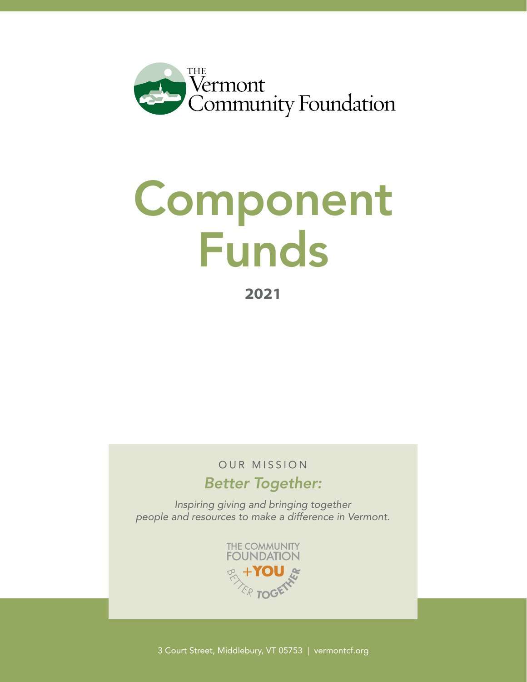

# Component Funds

**2021**

# OUR MISSION *Better Together:*

*Inspiring giving and bringing together people and resources to make a difference in Vermont.*



3 Court Street, Middlebury, VT 05753 | vermontcf.org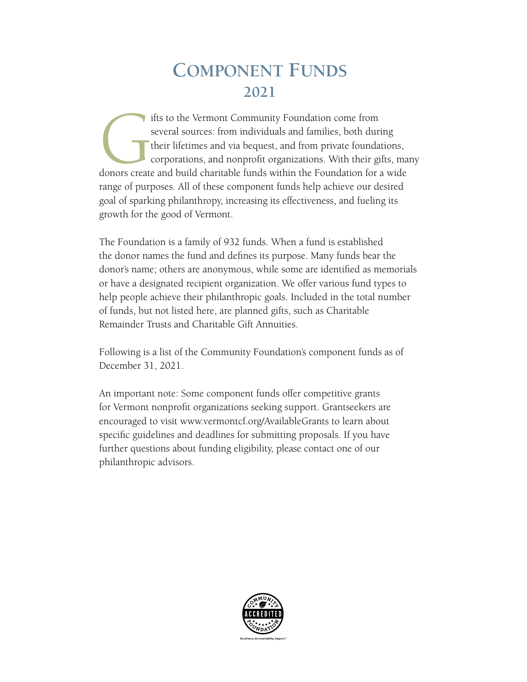# **Component Funds 2021**

Ifts to the Vermont Community Foundation come from<br>several sources: from individuals and families, both during<br>their lifetimes and via bequest, and from private foundation<br>corporations, and nonprofit organizations. With th several sources: from individuals and families, both during their lifetimes and via bequest, and from private foundations, corporations, and nonprofit organizations. With their gifts, many donors create and build charitable funds within the Foundation for a wide range of purposes. All of these component funds help achieve our desired goal of sparking philanthropy, increasing its effectiveness, and fueling its growth for the good of Vermont.

The Foundation is a family of 932 funds. When a fund is established the donor names the fund and defines its purpose. Many funds bear the donor's name; others are anonymous, while some are identified as memorials or have a designated recipient organization. We offer various fund types to help people achieve their philanthropic goals. Included in the total number of funds, but not listed here, are planned gifts, such as Charitable Remainder Trusts and Charitable Gift Annuities.

Following is a list of the Community Foundation's component funds as of December 31, 2021.

An important note: Some component funds offer competitive grants for Vermont nonprofit organizations seeking support. Grantseekers are encouraged to visit www.vermontcf.org/AvailableGrants to learn about specific guidelines and deadlines for submitting proposals. If you have further questions about funding eligibility, please contact one of our philanthropic advisors.

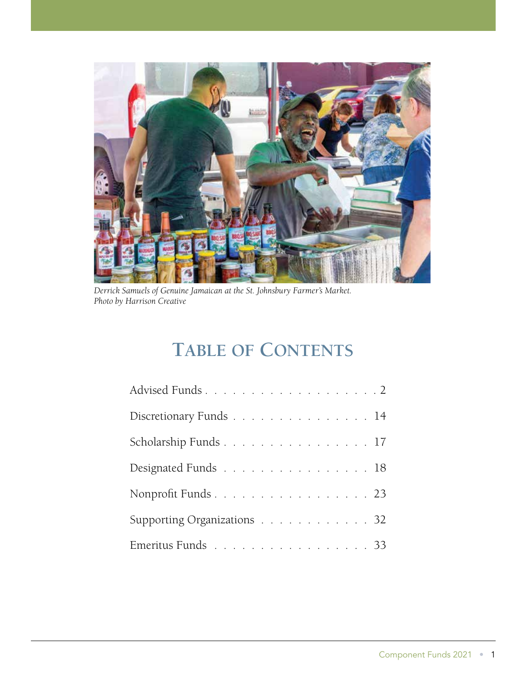

*Derrick Samuels of Genuine Jamaican at the St. Johnsbury Farmer's Market. Photo by Harrison Creative*

# **Table of Contents**

| Discretionary Funds 14      |  |  |  |  |  |  |  |
|-----------------------------|--|--|--|--|--|--|--|
| Scholarship Funds 17        |  |  |  |  |  |  |  |
| Designated Funds 18         |  |  |  |  |  |  |  |
| Nonprofit Funds 23          |  |  |  |  |  |  |  |
| Supporting Organizations 32 |  |  |  |  |  |  |  |
| Emeritus Funds 33           |  |  |  |  |  |  |  |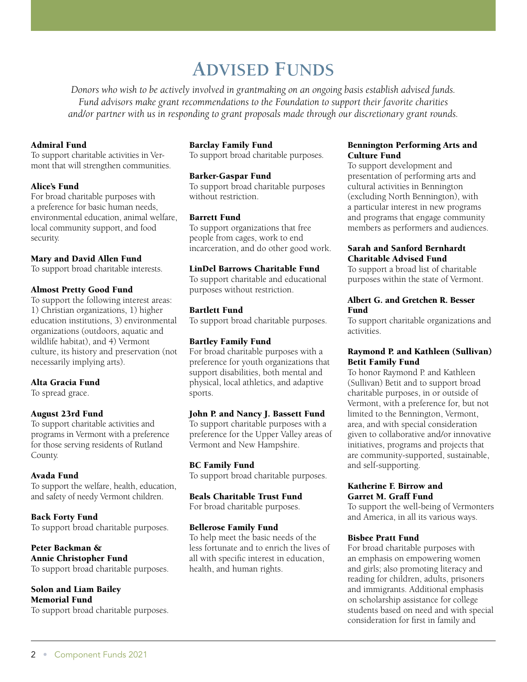# **Advised Funds**

*Donors who wish to be actively involved in grantmaking on an ongoing basis establish advised funds. Fund advisors make grant recommendations to the Foundation to support their favorite charities and/or partner with us in responding to grant proposals made through our discretionary grant rounds.*

# Admiral Fund

To support charitable activities in Vermont that will strengthen communities.

#### Alice's Fund

For broad charitable purposes with a preference for basic human needs, environmental education, animal welfare, local community support, and food security.

# Mary and David Allen Fund

To support broad charitable interests.

# Almost Pretty Good Fund

To support the following interest areas: 1) Christian organizations, 1) higher education institutions, 3) environmental organizations (outdoors, aquatic and wildlife habitat), and 4) Vermont culture, its history and preservation (not necessarily implying arts).

#### Alta Gracia Fund

To spread grace.

#### August 23rd Fund

To support charitable activities and programs in Vermont with a preference for those serving residents of Rutland County.

#### Avada Fund

To support the welfare, health, education, and safety of needy Vermont children.

Back Forty Fund To support broad charitable purposes.

#### Peter Backman & Annie Christopher Fund To support broad charitable purposes.

#### Solon and Liam Bailey Memorial Fund

To support broad charitable purposes.

# Barclay Family Fund

To support broad charitable purposes.

# Barker-Gaspar Fund

To support broad charitable purposes without restriction.

# Barrett Fund

To support organizations that free people from cages, work to end incarceration, and do other good work.

# LinDel Barrows Charitable Fund

To support charitable and educational purposes without restriction.

# Bartlett Fund

To support broad charitable purposes.

# Bartley Family Fund

For broad charitable purposes with a preference for youth organizations that support disabilities, both mental and physical, local athletics, and adaptive sports.

# John P. and Nancy J. Bassett Fund

To support charitable purposes with a preference for the Upper Valley areas of Vermont and New Hampshire.

#### BC Family Fund

To support broad charitable purposes.

# Beals Charitable Trust Fund

For broad charitable purposes.

#### Bellerose Family Fund

To help meet the basic needs of the less fortunate and to enrich the lives of all with specific interest in education, health, and human rights.

#### Bennington Performing Arts and Culture Fund

To support development and presentation of performing arts and cultural activities in Bennington (excluding North Bennington), with a particular interest in new programs and programs that engage community members as performers and audiences.

# Sarah and Sanford Bernhardt Charitable Advised Fund

To support a broad list of charitable purposes within the state of Vermont.

# Albert G. and Gretchen R. Besser Fund

To support charitable organizations and activities.

# Raymond P. and Kathleen (Sullivan) Betit Family Fund

To honor Raymond P. and Kathleen (Sullivan) Betit and to support broad charitable purposes, in or outside of Vermont, with a preference for, but not limited to the Bennington, Vermont, area, and with special consideration given to collaborative and/or innovative initiatives, programs and projects that are community-supported, sustainable, and self-supporting.

#### Katherine F. Birrow and Garret M. Graff Fund

To support the well-being of Vermonters and America, in all its various ways.

# Bisbee Pratt Fund

For broad charitable purposes with an emphasis on empowering women and girls; also promoting literacy and reading for children, adults, prisoners and immigrants. Additional emphasis on scholarship assistance for college students based on need and with special consideration for first in family and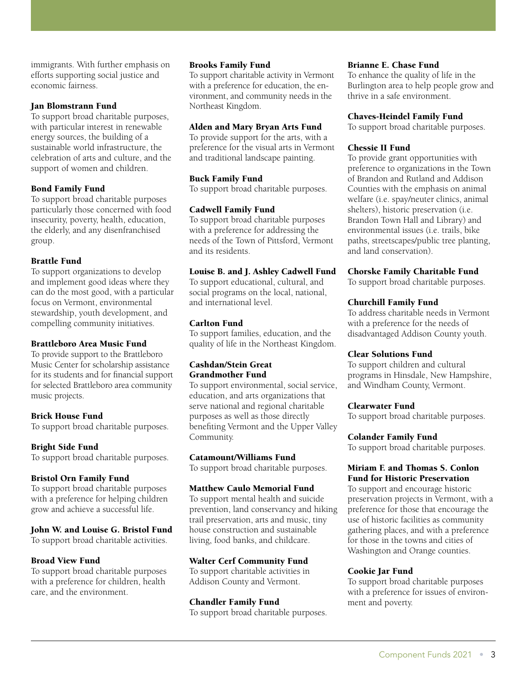immigrants. With further emphasis on efforts supporting social justice and economic fairness.

#### Jan Blomstrann Fund

To support broad charitable purposes, with particular interest in renewable energy sources, the building of a sustainable world infrastructure, the celebration of arts and culture, and the support of women and children.

#### Bond Family Fund

To support broad charitable purposes particularly those concerned with food insecurity, poverty, health, education, the elderly, and any disenfranchised group.

#### Brattle Fund

To support organizations to develop and implement good ideas where they can do the most good, with a particular focus on Vermont, environmental stewardship, youth development, and compelling community initiatives.

# Brattleboro Area Music Fund

To provide support to the Brattleboro Music Center for scholarship assistance for its students and for financial support for selected Brattleboro area community music projects.

#### Brick House Fund

To support broad charitable purposes.

#### Bright Side Fund

To support broad charitable purposes.

# Bristol Orn Family Fund

To support broad charitable purposes with a preference for helping children grow and achieve a successful life.

#### John W. and Louise G. Bristol Fund

To support broad charitable activities.

#### Broad View Fund

To support broad charitable purposes with a preference for children, health care, and the environment.

#### Brooks Family Fund

To support charitable activity in Vermont with a preference for education, the environment, and community needs in the Northeast Kingdom.

#### Alden and Mary Bryan Arts Fund

To provide support for the arts, with a preference for the visual arts in Vermont and traditional landscape painting.

# Buck Family Fund

To support broad charitable purposes.

#### Cadwell Family Fund

To support broad charitable purposes with a preference for addressing the needs of the Town of Pittsford, Vermont and its residents.

#### Louise B. and J. Ashley Cadwell Fund

To support educational, cultural, and social programs on the local, national, and international level.

#### Carlton Fund

To support families, education, and the quality of life in the Northeast Kingdom.

# Cashdan/Stein Great Grandmother Fund

To support environmental, social service, education, and arts organizations that serve national and regional charitable purposes as well as those directly benefiting Vermont and the Upper Valley Community.

#### Catamount/Williams Fund

To support broad charitable purposes.

#### Matthew Caulo Memorial Fund

To support mental health and suicide prevention, land conservancy and hiking trail preservation, arts and music, tiny house construction and sustainable living, food banks, and childcare.

#### Walter Cerf Community Fund

To support charitable activities in Addison County and Vermont.

#### Chandler Family Fund

To support broad charitable purposes.

# Brianne E. Chase Fund

To enhance the quality of life in the Burlington area to help people grow and thrive in a safe environment.

#### Chaves-Heindel Family Fund

To support broad charitable purposes.

# Chessie II Fund

To provide grant opportunities with preference to organizations in the Town of Brandon and Rutland and Addison Counties with the emphasis on animal welfare (i.e. spay/neuter clinics, animal shelters), historic preservation (i.e. Brandon Town Hall and Library) and environmental issues (i.e. trails, bike paths, streetscapes/public tree planting, and land conservation).

#### Chorske Family Charitable Fund

To support broad charitable purposes.

#### Churchill Family Fund

To address charitable needs in Vermont with a preference for the needs of disadvantaged Addison County youth.

#### Clear Solutions Fund

To support children and cultural programs in Hinsdale, New Hampshire, and Windham County, Vermont.

#### Clearwater Fund

To support broad charitable purposes.

#### Colander Family Fund

To support broad charitable purposes.

# Miriam F. and Thomas S. Conlon Fund for Historic Preservation

To support and encourage historic preservation projects in Vermont, with a preference for those that encourage the use of historic facilities as community gathering places, and with a preference for those in the towns and cities of Washington and Orange counties.

#### Cookie Jar Fund

To support broad charitable purposes with a preference for issues of environment and poverty.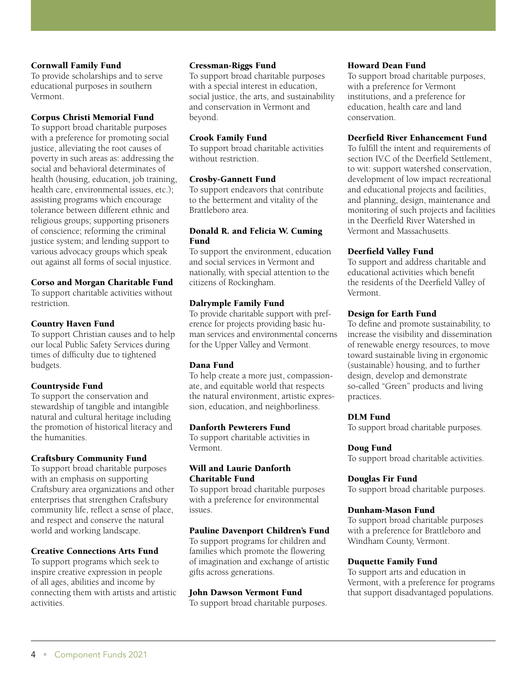#### Cornwall Family Fund

To provide scholarships and to serve educational purposes in southern Vermont.

# Corpus Christi Memorial Fund

To support broad charitable purposes with a preference for promoting social justice, alleviating the root causes of poverty in such areas as: addressing the social and behavioral determinates of health (housing, education, job training, health care, environmental issues, etc.); assisting programs which encourage tolerance between different ethnic and religious groups; supporting prisoners of conscience; reforming the criminal justice system; and lending support to various advocacy groups which speak out against all forms of social injustice.

# Corso and Morgan Charitable Fund

To support charitable activities without restriction.

# Country Haven Fund

To support Christian causes and to help our local Public Safety Services during times of difficulty due to tightened budgets.

#### Countryside Fund

To support the conservation and stewardship of tangible and intangible natural and cultural heritage including the promotion of historical literacy and the humanities.

#### Craftsbury Community Fund

To support broad charitable purposes with an emphasis on supporting Craftsbury area organizations and other enterprises that strengthen Craftsbury community life, reflect a sense of place, and respect and conserve the natural world and working landscape.

# Creative Connections Arts Fund

To support programs which seek to inspire creative expression in people of all ages, abilities and income by connecting them with artists and artistic activities.

#### Cressman-Riggs Fund

To support broad charitable purposes with a special interest in education, social justice, the arts, and sustainability and conservation in Vermont and beyond.

#### Crook Family Fund

To support broad charitable activities without restriction.

#### Crosby-Gannett Fund

To support endeavors that contribute to the betterment and vitality of the Brattleboro area.

#### Donald R. and Felicia W. Cuming Fund

To support the environment, education and social services in Vermont and nationally, with special attention to the citizens of Rockingham.

# Dalrymple Family Fund

To provide charitable support with preference for projects providing basic human services and environmental concerns for the Upper Valley and Vermont.

# Dana Fund

To help create a more just, compassionate, and equitable world that respects the natural environment, artistic expression, education, and neighborliness.

#### Danforth Pewterers Fund

To support charitable activities in Vermont.

# Will and Laurie Danforth Charitable Fund

To support broad charitable purposes with a preference for environmental issues.

#### Pauline Davenport Children's Fund

To support programs for children and families which promote the flowering of imagination and exchange of artistic gifts across generations.

#### John Dawson Vermont Fund To support broad charitable purposes.

#### Howard Dean Fund

To support broad charitable purposes, with a preference for Vermont institutions, and a preference for education, health care and land conservation.

#### Deerfield River Enhancement Fund

To fulfill the intent and requirements of section IV.C of the Deerfield Settlement, to wit: support watershed conservation, development of low impact recreational and educational projects and facilities, and planning, design, maintenance and monitoring of such projects and facilities in the Deerfield River Watershed in Vermont and Massachusetts.

#### Deerfield Valley Fund

To support and address charitable and educational activities which benefit the residents of the Deerfield Valley of Vermont.

#### Design for Earth Fund

To define and promote sustainability, to increase the visibility and dissemination of renewable energy resources, to move toward sustainable living in ergonomic (sustainable) housing, and to further design, develop and demonstrate so-called "Green" products and living practices.

#### DLM Fund

To support broad charitable purposes.

#### Doug Fund

To support broad charitable activities.

#### Douglas Fir Fund

To support broad charitable purposes.

#### Dunham-Mason Fund

To support broad charitable purposes with a preference for Brattleboro and Windham County, Vermont.

#### Duquette Family Fund

To support arts and education in Vermont, with a preference for programs that support disadvantaged populations.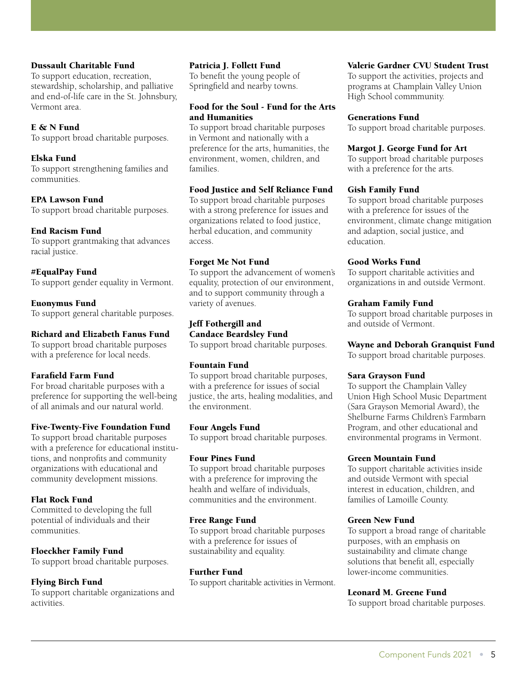# Dussault Charitable Fund

To support education, recreation, stewardship, scholarship, and palliative and end-of-life care in the St. Johnsbury, Vermont area.

# E & N Fund

To support broad charitable purposes.

#### Elska Fund

To support strengthening families and communities.

#### EPA Lawson Fund

To support broad charitable purposes.

# End Racism Fund

To support grantmaking that advances racial justice.

# #EqualPay Fund

To support gender equality in Vermont.

Euonymus Fund

To support general charitable purposes.

# Richard and Elizabeth Fanus Fund

To support broad charitable purposes with a preference for local needs.

# Farafield Farm Fund

For broad charitable purposes with a preference for supporting the well-being of all animals and our natural world.

#### Five-Twenty-Five Foundation Fund

To support broad charitable purposes with a preference for educational institutions, and nonprofits and community organizations with educational and community development missions.

# Flat Rock Fund

Committed to developing the full potential of individuals and their communities.

Floeckher Family Fund

To support broad charitable purposes.

#### Flying Birch Fund

To support charitable organizations and activities.

#### Patricia J. Follett Fund

To benefit the young people of Springfield and nearby towns.

# Food for the Soul - Fund for the Arts and Humanities

To support broad charitable purposes in Vermont and nationally with a preference for the arts, humanities, the environment, women, children, and families.

# Food Justice and Self Reliance Fund

To support broad charitable purposes with a strong preference for issues and organizations related to food justice, herbal education, and community access.

# Forget Me Not Fund

To support the advancement of women's equality, protection of our environment, and to support community through a variety of avenues.

# Jeff Fothergill and Candace Beardsley Fund

To support broad charitable purposes.

# Fountain Fund

To support broad charitable purposes, with a preference for issues of social justice, the arts, healing modalities, and the environment.

#### Four Angels Fund

To support broad charitable purposes.

#### Four Pines Fund

To support broad charitable purposes with a preference for improving the health and welfare of individuals, communities and the environment.

#### Free Range Fund

To support broad charitable purposes with a preference for issues of sustainability and equality.

#### Further Fund

To support charitable activities in Vermont.

#### Valerie Gardner CVU Student Trust

To support the activities, projects and programs at Champlain Valley Union High School commmunity.

#### Generations Fund

To support broad charitable purposes.

#### Margot J. George Fund for Art

To support broad charitable purposes with a preference for the arts.

#### Gish Family Fund

To support broad charitable purposes with a preference for issues of the environment, climate change mitigation and adaption, social justice, and education.

#### Good Works Fund

To support charitable activities and organizations in and outside Vermont.

#### Graham Family Fund

To support broad charitable purposes in and outside of Vermont.

#### Wayne and Deborah Granquist Fund

To support broad charitable purposes.

#### Sara Grayson Fund

To support the Champlain Valley Union High School Music Department (Sara Grayson Memorial Award), the Shelburne Farms Children's Farmbarn Program, and other educational and environmental programs in Vermont.

# Green Mountain Fund

To support charitable activities inside and outside Vermont with special interest in education, children, and families of Lamoille County.

#### Green New Fund

To support a broad range of charitable purposes, with an emphasis on sustainability and climate change solutions that benefit all, especially lower-income communities.

#### Leonard M. Greene Fund

To support broad charitable purposes.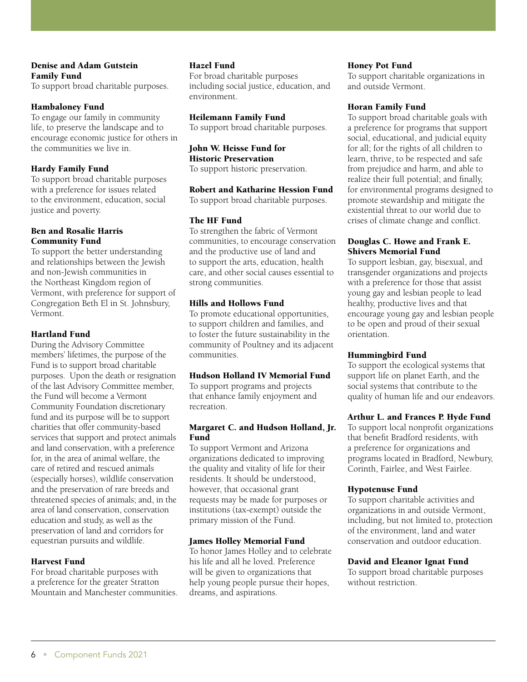# Denise and Adam Gutstein Family Fund

To support broad charitable purposes.

# Hambaloney Fund

To engage our family in community life, to preserve the landscape and to encourage economic justice for others in the communities we live in.

# Hardy Family Fund

To support broad charitable purposes with a preference for issues related to the environment, education, social justice and poverty.

# Ben and Rosalie Harris Community Fund

To support the better understanding and relationships between the Jewish and non-Jewish communities in the Northeast Kingdom region of Vermont, with preference for support of Congregation Beth El in St. Johnsbury, Vermont.

# Hartland Fund

During the Advisory Committee members' lifetimes, the purpose of the Fund is to support broad charitable purposes. Upon the death or resignation of the last Advisory Committee member, the Fund will become a Vermont Community Foundation discretionary fund and its purpose will be to support charities that offer community-based services that support and protect animals and land conservation, with a preference for, in the area of animal welfare, the care of retired and rescued animals (especially horses), wildlife conservation and the preservation of rare breeds and threatened species of animals; and, in the area of land conservation, conservation education and study, as well as the preservation of land and corridors for equestrian pursuits and wildlife.

# Harvest Fund

For broad charitable purposes with a preference for the greater Stratton Mountain and Manchester communities.

# Hazel Fund

For broad charitable purposes including social justice, education, and environment.

Heilemann Family Fund To support broad charitable purposes.

# John W. Heisse Fund for Historic Preservation

To support historic preservation.

Robert and Katharine Hession Fund To support broad charitable purposes.

# The HF Fund

To strengthen the fabric of Vermont communities, to encourage conservation and the productive use of land and to support the arts, education, health care, and other social causes essential to strong communities.

# Hills and Hollows Fund

To promote educational opportunities, to support children and families, and to foster the future sustainability in the community of Poultney and its adjacent communities.

# Hudson Holland IV Memorial Fund

To support programs and projects that enhance family enjoyment and recreation.

# Margaret C. and Hudson Holland, Jr. Fund

To support Vermont and Arizona organizations dedicated to improving the quality and vitality of life for their residents. It should be understood, however, that occasional grant requests may be made for purposes or institutions (tax-exempt) outside the primary mission of the Fund.

# James Holley Memorial Fund

To honor James Holley and to celebrate his life and all he loved. Preference will be given to organizations that help young people pursue their hopes, dreams, and aspirations.

# Honey Pot Fund

To support charitable organizations in and outside Vermont.

# Horan Family Fund

To support broad charitable goals with a preference for programs that support social, educational, and judicial equity for all; for the rights of all children to learn, thrive, to be respected and safe from prejudice and harm, and able to realize their full potential; and finally, for environmental programs designed to promote stewardship and mitigate the existential threat to our world due to crises of climate change and conflict.

# Douglas C. Howe and Frank E. Shivers Memorial Fund

To support lesbian, gay, bisexual, and transgender organizations and projects with a preference for those that assist young gay and lesbian people to lead healthy, productive lives and that encourage young gay and lesbian people to be open and proud of their sexual orientation.

# Hummingbird Fund

To support the ecological systems that support life on planet Earth, and the social systems that contribute to the quality of human life and our endeavors.

# Arthur L. and Frances P. Hyde Fund

To support local nonprofit organizations that benefit Bradford residents, with a preference for organizations and programs located in Bradford, Newbury, Corinth, Fairlee, and West Fairlee.

# Hypotenuse Fund

To support charitable activities and organizations in and outside Vermont, including, but not limited to, protection of the environment, land and water conservation and outdoor education.

# David and Eleanor Ignat Fund

To support broad charitable purposes without restriction.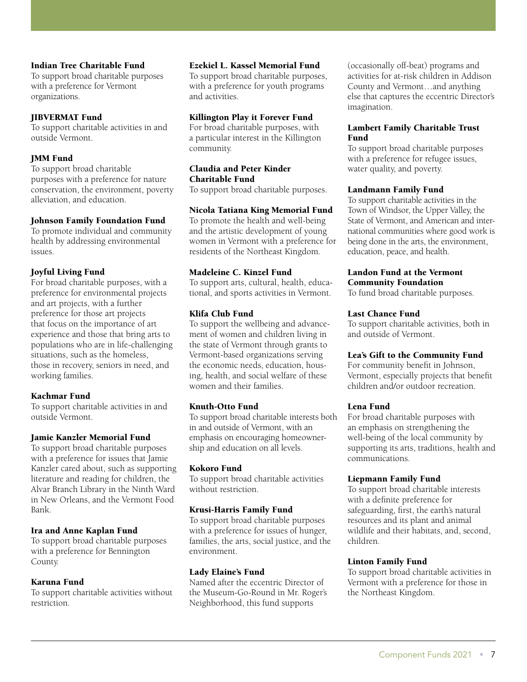#### Indian Tree Charitable Fund

To support broad charitable purposes with a preference for Vermont organizations.

# JIBVERMAT Fund

To support charitable activities in and outside Vermont.

# JMM Fund

To support broad charitable purposes with a preference for nature conservation, the environment, poverty alleviation, and education.

# Johnson Family Foundation Fund

To promote individual and community health by addressing environmental issues.

# Joyful Living Fund

For broad charitable purposes, with a preference for environmental projects and art projects, with a further preference for those art projects that focus on the importance of art experience and those that bring arts to populations who are in life-challenging situations, such as the homeless, those in recovery, seniors in need, and working families.

# Kachmar Fund

To support charitable activities in and outside Vermont.

# Jamie Kanzler Memorial Fund

To support broad charitable purposes with a preference for issues that Jamie Kanzler cared about, such as supporting literature and reading for children, the Alvar Branch Library in the Ninth Ward in New Orleans, and the Vermont Food Bank.

#### Ira and Anne Kaplan Fund

To support broad charitable purposes with a preference for Bennington County.

#### Karuna Fund

To support charitable activities without restriction.

#### Ezekiel L. Kassel Memorial Fund

To support broad charitable purposes, with a preference for youth programs and activities.

# Killington Play it Forever Fund

For broad charitable purposes, with a particular interest in the Killington community.

# Claudia and Peter Kinder Charitable Fund

To support broad charitable purposes.

# Nicola Tatiana King Memorial Fund

To promote the health and well-being and the artistic development of young women in Vermont with a preference for residents of the Northeast Kingdom.

# Madeleine C. Kinzel Fund

To support arts, cultural, health, educational, and sports activities in Vermont.

# Klifa Club Fund

To support the wellbeing and advancement of women and children living in the state of Vermont through grants to Vermont-based organizations serving the economic needs, education, housing, health, and social welfare of these women and their families.

#### Knuth-Otto Fund

To support broad charitable interests both in and outside of Vermont, with an emphasis on encouraging homeownership and education on all levels.

#### Kokoro Fund

To support broad charitable activities without restriction.

#### Krusi-Harris Family Fund

To support broad charitable purposes with a preference for issues of hunger, families, the arts, social justice, and the environment.

#### Lady Elaine's Fund

Named after the eccentric Director of the Museum-Go-Round in Mr. Roger's Neighborhood, this fund supports

(occasionally off-beat) programs and activities for at-risk children in Addison County and Vermont…and anything else that captures the eccentric Director's imagination.

#### Lambert Family Charitable Trust Fund

To support broad charitable purposes with a preference for refugee issues, water quality, and poverty.

#### Landmann Family Fund

To support charitable activities in the Town of Windsor, the Upper Valley, the State of Vermont, and American and international communities where good work is being done in the arts, the environment, education, peace, and health.

#### Landon Fund at the Vermont Community Foundation

To fund broad charitable purposes.

# Last Chance Fund

To support charitable activities, both in and outside of Vermont.

# Lea's Gift to the Community Fund

For community benefit in Johnson, Vermont, especially projects that benefit children and/or outdoor recreation.

#### Lena Fund

For broad charitable purposes with an emphasis on strengthening the well-being of the local community by supporting its arts, traditions, health and communications.

#### Liepmann Family Fund

To support broad charitable interests with a definite preference for safeguarding, first, the earth's natural resources and its plant and animal wildlife and their habitats, and, second, children.

#### Linton Family Fund

To support broad charitable activities in Vermont with a preference for those in the Northeast Kingdom.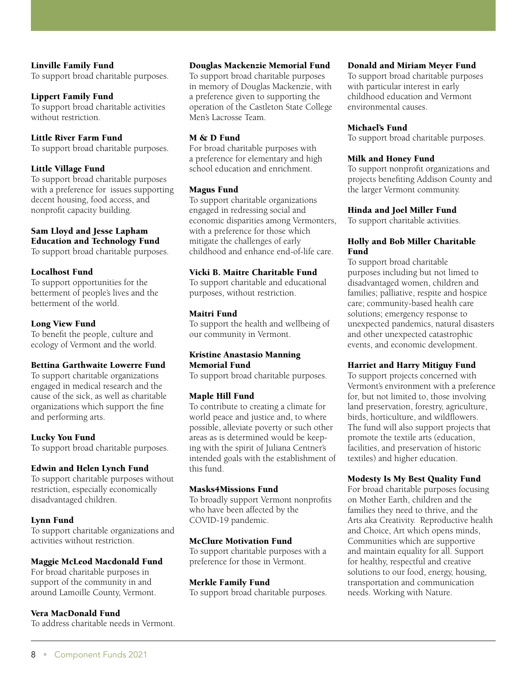#### Linville Family Fund

To support broad charitable purposes.

# Lippert Family Fund

To support broad charitable activities without restriction

#### Little River Farm Fund

To support broad charitable purposes.

#### Little Village Fund

To support broad charitable purposes with a preference for issues supporting decent housing, food access, and nonprofit capacity building.

#### Sam Lloyd and Jesse Lapham Education and Technology Fund

To support broad charitable purposes.

#### Localhost Fund

To support opportunities for the betterment of people's lives and the betterment of the world.

#### Long View Fund

To benefit the people, culture and ecology of Vermont and the world.

# Bettina Garthwaite Lowerre Fund

To support charitable organizations engaged in medical research and the cause of the sick, as well as charitable organizations which support the fine and performing arts.

#### Lucky You Fund

To support broad charitable purposes.

# Edwin and Helen Lynch Fund

To support charitable purposes without restriction, especially economically disadvantaged children.

#### Lynn Fund

To support charitable organizations and activities without restriction.

#### Maggie McLeod Macdonald Fund

For broad charitable purposes in support of the community in and around Lamoille County, Vermont.

#### Vera MacDonald Fund

To address charitable needs in Vermont.

# Douglas Mackenzie Memorial Fund

To support broad charitable purposes in memory of Douglas Mackenzie, with a preference given to supporting the operation of the Castleton State College Men's Lacrosse Team.

#### M & D Fund

For broad charitable purposes with a preference for elementary and high school education and enrichment.

#### Magus Fund

To support charitable organizations engaged in redressing social and economic disparities among Vermonters, with a preference for those which mitigate the challenges of early childhood and enhance end-of-life care.

# Vicki B. Maitre Charitable Fund

To support charitable and educational purposes, without restriction.

#### Maitri Fund

To support the health and wellbeing of our community in Vermont.

# Kristine Anastasio Manning Memorial Fund

To support broad charitable purposes.

#### Maple Hill Fund

To contribute to creating a climate for world peace and justice and, to where possible, alleviate poverty or such other areas as is determined would be keeping with the spirit of Juliana Centner's intended goals with the establishment of this fund.

#### Masks4Missions Fund

To broadly support Vermont nonprofits who have been affected by the COVID-19 pandemic.

#### McClure Motivation Fund

To support charitable purposes with a preference for those in Vermont.

#### Merkle Family Fund

To support broad charitable purposes.

#### Donald and Miriam Meyer Fund

To support broad charitable purposes with particular interest in early childhood education and Vermont environmental causes.

#### Michael's Fund

To support broad charitable purposes.

#### Milk and Honey Fund

To support nonprofit organizations and projects benefiting Addison County and the larger Vermont community.

#### Hinda and Joel Miller Fund

To support charitable activities.

#### Holly and Bob Miller Charitable Fund

To support broad charitable purposes including but not limed to disadvantaged women, children and families; palliative, respite and hospice care; community-based health care solutions; emergency response to unexpected pandemics, natural disasters and other unexpected catastrophic events, and economic development.

#### Harriet and Harry Mitiguy Fund

To support projects concerned with Vermont's environment with a preference for, but not limited to, those involving land preservation, forestry, agriculture, birds, horticulture, and wildflowers. The fund will also support projects that promote the textile arts (education, facilities, and preservation of historic textiles) and higher education.

#### Modesty Is My Best Quality Fund

For broad charitable purposes focusing on Mother Earth, children and the families they need to thrive, and the Arts aka Creativity. Reproductive health and Choice, Art which opens minds, Communities which are supportive and maintain equality for all. Support for healthy, respectful and creative solutions to our food, energy, housing, transportation and communication needs. Working with Nature.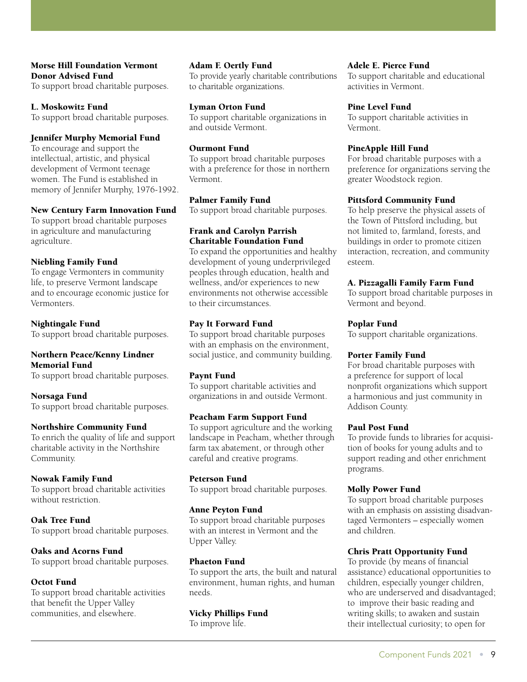# Morse Hill Foundation Vermont Donor Advised Fund

To support broad charitable purposes.

# L. Moskowitz Fund

To support broad charitable purposes.

# Jennifer Murphy Memorial Fund

To encourage and support the intellectual, artistic, and physical development of Vermont teenage women. The Fund is established in memory of Jennifer Murphy, 1976-1992.

# New Century Farm Innovation Fund

To support broad charitable purposes in agriculture and manufacturing agriculture.

# Niebling Family Fund

To engage Vermonters in community life, to preserve Vermont landscape and to encourage economic justice for Vermonters.

# Nightingale Fund

To support broad charitable purposes.

# Northern Peace/Kenny Lindner Memorial Fund

To support broad charitable purposes.

# Norsaga Fund

To support broad charitable purposes.

# Northshire Community Fund

To enrich the quality of life and support charitable activity in the Northshire Community.

# Nowak Family Fund

To support broad charitable activities without restriction.

# Oak Tree Fund

To support broad charitable purposes.

# Oaks and Acorns Fund

To support broad charitable purposes.

# Octot Fund

To support broad charitable activities that benefit the Upper Valley communities, and elsewhere.

# Adam F. Oertly Fund

To provide yearly charitable contributions to charitable organizations.

# Lyman Orton Fund

To support charitable organizations in and outside Vermont.

# Ourmont Fund

To support broad charitable purposes with a preference for those in northern Vermont.

Palmer Family Fund To support broad charitable purposes.

# Frank and Carolyn Parrish Charitable Foundation Fund

To expand the opportunities and healthy development of young underprivileged peoples through education, health and wellness, and/or experiences to new environments not otherwise accessible to their circumstances.

# Pay It Forward Fund

To support broad charitable purposes with an emphasis on the environment, social justice, and community building.

# Paynt Fund

To support charitable activities and organizations in and outside Vermont.

# Peacham Farm Support Fund

To support agriculture and the working landscape in Peacham, whether through farm tax abatement, or through other careful and creative programs.

# Peterson Fund

To support broad charitable purposes.

# Anne Peyton Fund

To support broad charitable purposes with an interest in Vermont and the Upper Valley.

# Phaeton Fund

To support the arts, the built and natural environment, human rights, and human needs.

# Vicky Phillips Fund

To improve life.

# Adele E. Pierce Fund

To support charitable and educational activities in Vermont.

# Pine Level Fund

To support charitable activities in Vermont.

# PineApple Hill Fund

For broad charitable purposes with a preference for organizations serving the greater Woodstock region.

# Pittsford Community Fund

To help preserve the physical assets of the Town of Pittsford including, but not limited to, farmland, forests, and buildings in order to promote citizen interaction, recreation, and community esteem.

# A. Pizzagalli Family Farm Fund

To support broad charitable purposes in Vermont and beyond.

# Poplar Fund

To support charitable organizations.

# Porter Family Fund

For broad charitable purposes with a preference for support of local nonprofit organizations which support a harmonious and just community in Addison County.

# Paul Post Fund

To provide funds to libraries for acquisition of books for young adults and to support reading and other enrichment programs.

# Molly Power Fund

To support broad charitable purposes with an emphasis on assisting disadvantaged Vermonters – especially women and children.

# Chris Pratt Opportunity Fund

To provide (by means of financial assistance) educational opportunities to children, especially younger children, who are underserved and disadvantaged; to improve their basic reading and writing skills; to awaken and sustain their intellectual curiosity; to open for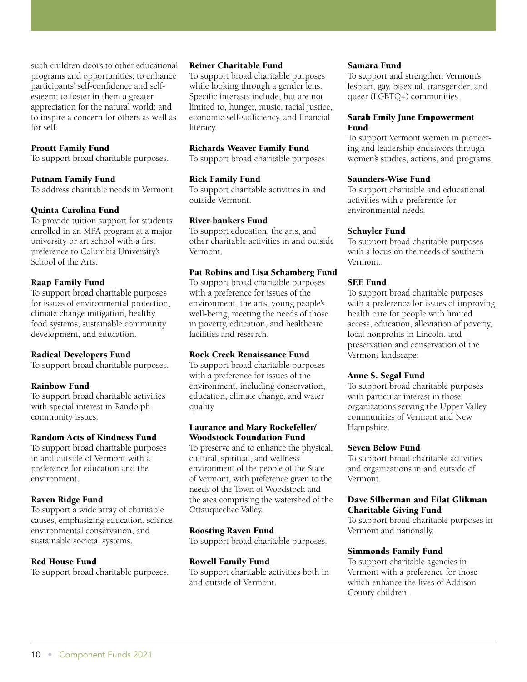such children doors to other educational programs and opportunities; to enhance participants' self-confidence and selfesteem; to foster in them a greater appreciation for the natural world; and to inspire a concern for others as well as for self.

#### Proutt Family Fund

To support broad charitable purposes.

# Putnam Family Fund

To address charitable needs in Vermont.

#### Quinta Carolina Fund

To provide tuition support for students enrolled in an MFA program at a major university or art school with a first preference to Columbia University's School of the Arts.

#### Raap Family Fund

To support broad charitable purposes for issues of environmental protection, climate change mitigation, healthy food systems, sustainable community development, and education.

#### Radical Developers Fund

To support broad charitable purposes.

#### Rainbow Fund

To support broad charitable activities with special interest in Randolph community issues.

#### Random Acts of Kindness Fund

To support broad charitable purposes in and outside of Vermont with a preference for education and the environment.

#### Raven Ridge Fund

To support a wide array of charitable causes, emphasizing education, science, environmental conservation, and sustainable societal systems.

#### Red House Fund

To support broad charitable purposes.

#### Reiner Charitable Fund

To support broad charitable purposes while looking through a gender lens. Specific interests include, but are not limited to, hunger, music, racial justice, economic self-sufficiency, and financial literacy.

# Richards Weaver Family Fund

To support broad charitable purposes.

# Rick Family Fund

To support charitable activities in and outside Vermont.

#### River-bankers Fund

To support education, the arts, and other charitable activities in and outside Vermont.

#### Pat Robins and Lisa Schamberg Fund

To support broad charitable purposes with a preference for issues of the environment, the arts, young people's well-being, meeting the needs of those in poverty, education, and healthcare facilities and research.

#### Rock Creek Renaissance Fund

To support broad charitable purposes with a preference for issues of the environment, including conservation, education, climate change, and water quality.

#### Laurance and Mary Rockefeller/ Woodstock Foundation Fund

To preserve and to enhance the physical, cultural, spiritual, and wellness environment of the people of the State of Vermont, with preference given to the needs of the Town of Woodstock and the area comprising the watershed of the Ottauquechee Valley.

#### Roosting Raven Fund

To support broad charitable purposes.

#### Rowell Family Fund

To support charitable activities both in and outside of Vermont.

#### Samara Fund

To support and strengthen Vermont's lesbian, gay, bisexual, transgender, and queer (LGBTQ+) communities.

#### Sarah Emily June Empowerment Fund

To support Vermont women in pioneering and leadership endeavors through women's studies, actions, and programs.

#### Saunders-Wise Fund

To support charitable and educational activities with a preference for environmental needs.

#### Schuyler Fund

To support broad charitable purposes with a focus on the needs of southern Vermont.

#### SEE Fund

To support broad charitable purposes with a preference for issues of improving health care for people with limited access, education, alleviation of poverty, local nonprofits in Lincoln, and preservation and conservation of the Vermont landscape.

#### Anne S. Segal Fund

To support broad charitable purposes with particular interest in those organizations serving the Upper Valley communities of Vermont and New Hampshire.

#### Seven Below Fund

To support broad charitable activities and organizations in and outside of Vermont.

#### Dave Silberman and Eilat Glikman Charitable Giving Fund

To support broad charitable purposes in Vermont and nationally.

#### Simmonds Family Fund

To support charitable agencies in Vermont with a preference for those which enhance the lives of Addison County children.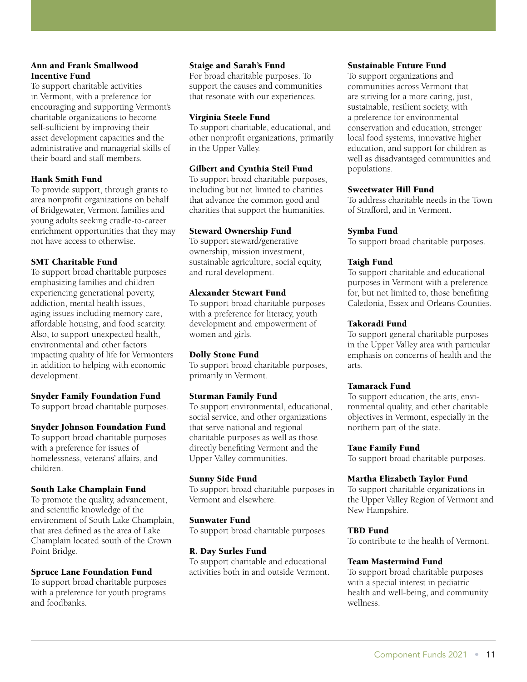# Ann and Frank Smallwood Incentive Fund

To support charitable activities in Vermont, with a preference for encouraging and supporting Vermont's charitable organizations to become self-sufficient by improving their asset development capacities and the administrative and managerial skills of their board and staff members.

# Hank Smith Fund

To provide support, through grants to area nonprofit organizations on behalf of Bridgewater, Vermont families and young adults seeking cradle-to-career enrichment opportunities that they may not have access to otherwise.

# SMT Charitable Fund

To support broad charitable purposes emphasizing families and children experiencing generational poverty, addiction, mental health issues, aging issues including memory care, affordable housing, and food scarcity. Also, to support unexpected health, environmental and other factors impacting quality of life for Vermonters in addition to helping with economic development.

# Snyder Family Foundation Fund

To support broad charitable purposes.

# Snyder Johnson Foundation Fund

To support broad charitable purposes with a preference for issues of homelessness, veterans' affairs, and children.

# South Lake Champlain Fund

To promote the quality, advancement, and scientific knowledge of the environment of South Lake Champlain, that area defined as the area of Lake Champlain located south of the Crown Point Bridge.

# Spruce Lane Foundation Fund

To support broad charitable purposes with a preference for youth programs and foodbanks.

# Staige and Sarah's Fund

For broad charitable purposes. To support the causes and communities that resonate with our experiences.

# Virginia Steele Fund

To support charitable, educational, and other nonprofit organizations, primarily in the Upper Valley.

# Gilbert and Cynthia Steil Fund

To support broad charitable purposes, including but not limited to charities that advance the common good and charities that support the humanities.

# Steward Ownership Fund

To support steward/generative ownership, mission investment, sustainable agriculture, social equity, and rural development.

# Alexander Stewart Fund

To support broad charitable purposes with a preference for literacy, youth development and empowerment of women and girls.

# Dolly Stone Fund

To support broad charitable purposes, primarily in Vermont.

# Sturman Family Fund

To support environmental, educational, social service, and other organizations that serve national and regional charitable purposes as well as those directly benefiting Vermont and the Upper Valley communities.

# Sunny Side Fund

To support broad charitable purposes in Vermont and elsewhere.

# Sunwater Fund

To support broad charitable purposes.

# R. Day Surles Fund

To support charitable and educational activities both in and outside Vermont.

# Sustainable Future Fund

To support organizations and communities across Vermont that are striving for a more caring, just, sustainable, resilient society, with a preference for environmental conservation and education, stronger local food systems, innovative higher education, and support for children as well as disadvantaged communities and populations.

# Sweetwater Hill Fund

To address charitable needs in the Town of Strafford, and in Vermont.

# Symba Fund

To support broad charitable purposes.

# Taigh Fund

To support charitable and educational purposes in Vermont with a preference for, but not limited to, those benefiting Caledonia, Essex and Orleans Counties.

# Takoradi Fund

To support general charitable purposes in the Upper Valley area with particular emphasis on concerns of health and the arts.

# Tamarack Fund

To support education, the arts, environmental quality, and other charitable objectives in Vermont, especially in the northern part of the state.

# Tane Family Fund

To support broad charitable purposes.

# Martha Elizabeth Taylor Fund

To support charitable organizations in the Upper Valley Region of Vermont and New Hampshire.

# TBD Fund

To contribute to the health of Vermont.

# Team Mastermind Fund

To support broad charitable purposes with a special interest in pediatric health and well-being, and community wellness.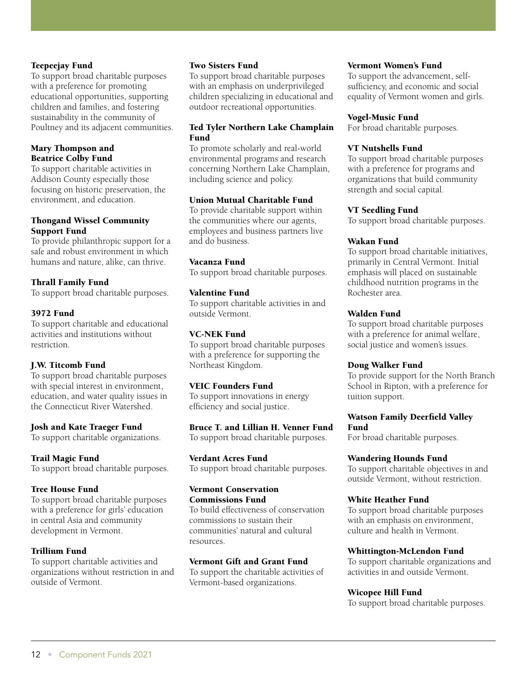# Teepeejay Fund

To support broad charitable purposes with a preference for promoting educational opportunities, supporting children and families, and fostering sustainability in the community of Poultney and its adjacent communities.

# Mary Thompson and Beatrice Colby Fund

To support charitable activities in Addison County especially those focusing on historic preservation, the environment, and education.

# Thongand Wissel Community Support Fund

To provide philanthropic support for a safe and robust environment in which humans and nature, alike, can thrive.

# Thrall Family Fund

To support broad charitable purposes.

# 3972 Fund

To support charitable and educational activities and institutions without restriction.

#### J.W. Titcomb Fund

To support broad charitable purposes with special interest in environment, education, and water quality issues in the Connecticut River Watershed.

#### Josh and Kate Traeger Fund

To support charitable organizations.

#### Trail Magic Fund

To support broad charitable purposes.

#### Tree House Fund

To support broad charitable purposes with a preference for girls' education in central Asia and community development in Vermont.

#### Trillium Fund

To support charitable activities and organizations without restriction in and outside of Vermont.

#### Two Sisters Fund

To support broad charitable purposes with an emphasis on underprivileged children specializing in educational and outdoor recreational opportunities.

# Ted Tyler Northern Lake Champlain Fund

To promote scholarly and real-world environmental programs and research concerning Northern Lake Champlain, including science and policy.

#### Union Mutual Charitable Fund

To provide charitable support within the communities where our agents, employees and business partners live and do business.

#### Vacanza Fund

To support broad charitable purposes.

#### Valentine Fund

To support charitable activities in and outside Vermont.

#### VC-NEK Fund

To support broad charitable purposes with a preference for supporting the Northeast Kingdom.

#### VEIC Founders Fund

To support innovations in energy efficiency and social justice.

# Bruce T. and Lillian H. Venner Fund

To support broad charitable purposes.

Verdant Acres Fund To support broad charitable purposes.

# Vermont Conservation Commissions Fund

To build effectiveness of conservation commissions to sustain their communities' natural and cultural resources.

#### Vermont Gift and Grant Fund

To support the charitable activities of Vermont-based organizations.

#### Vermont Women's Fund

To support the advancement, selfsufficiency, and economic and social equality of Vermont women and girls.

#### Vogel-Music Fund

For broad charitable purposes.

#### VT Nutshells Fund

To support broad charitable purposes with a preference for programs and organizations that build community strength and social capital.

#### VT Seedling Fund

To support broad charitable purposes.

#### Wakan Fund

To support broad charitable initiatives, primarily in Central Vermont. Initial emphasis will placed on sustainable childhood nutrition programs in the Rochester area.

#### Walden Fund

To support broad charitable purposes with a preference for animal welfare, social justice and women's issues.

#### Doug Walker Fund

To provide support for the North Branch School in Ripton, with a preference for tuition support.

#### Watson Family Deerfield Valley Fund

For broad charitable purposes.

#### Wandering Hounds Fund

To support charitable objectives in and outside Vermont, without restriction.

#### White Heather Fund

To support broad charitable purposes with an emphasis on environment, culture and health in Vermont.

#### Whittington-McLendon Fund

To support charitable organizations and activities in and outside Vermont.

#### Wicopee Hill Fund

To support broad charitable purposes.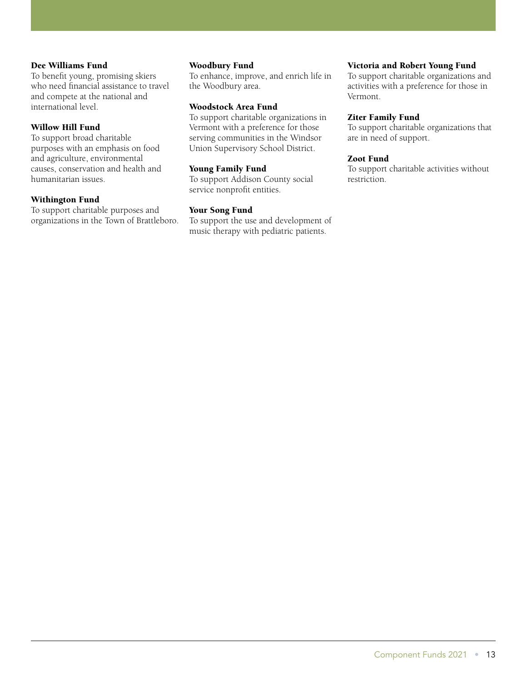#### Dee Williams Fund

To benefit young, promising skiers who need financial assistance to travel and compete at the national and international level.

# Willow Hill Fund

To support broad charitable purposes with an emphasis on food and agriculture, environmental causes, conservation and health and humanitarian issues.

#### Withington Fund

To support charitable purposes and organizations in the Town of Brattleboro.

#### Woodbury Fund

To enhance, improve, and enrich life in the Woodbury area.

#### Woodstock Area Fund

To support charitable organizations in Vermont with a preference for those serving communities in the Windsor Union Supervisory School District.

#### Young Family Fund

To support Addison County social service nonprofit entities.

#### Your Song Fund

To support the use and development of music therapy with pediatric patients.

#### Victoria and Robert Young Fund

To support charitable organizations and activities with a preference for those in Vermont.

#### Ziter Family Fund

To support charitable organizations that are in need of support.

#### Zoot Fund

To support charitable activities without restriction.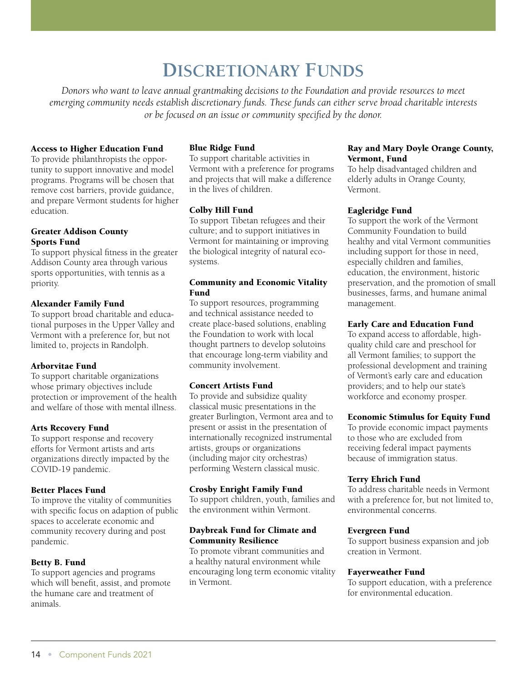# **DISCRETIONARY FUNDS**

*Donors who want to leave annual grantmaking decisions to the Foundation and provide resources to meet emerging community needs establish discretionary funds. These funds can either serve broad charitable interests or be focused on an issue or community specified by the donor.* 

# Access to Higher Education Fund

To provide philanthropists the opportunity to support innovative and model programs. Programs will be chosen that remove cost barriers, provide guidance, and prepare Vermont students for higher education.

#### Greater Addison County Sports Fund

To support physical fitness in the greater Addison County area through various sports opportunities, with tennis as a priority.

# Alexander Family Fund

To support broad charitable and educational purposes in the Upper Valley and Vermont with a preference for, but not limited to, projects in Randolph.

#### Arborvitae Fund

To support charitable organizations whose primary objectives include protection or improvement of the health and welfare of those with mental illness.

#### Arts Recovery Fund

To support response and recovery efforts for Vermont artists and arts organizations directly impacted by the COVID-19 pandemic.

#### Better Places Fund

To improve the vitality of communities with specific focus on adaption of public spaces to accelerate economic and community recovery during and post pandemic.

# Betty B. Fund

To support agencies and programs which will benefit, assist, and promote the humane care and treatment of animals.

#### Blue Ridge Fund

To support charitable activities in Vermont with a preference for programs and projects that will make a difference in the lives of children.

# Colby Hill Fund

To support Tibetan refugees and their culture; and to support initiatives in Vermont for maintaining or improving the biological integrity of natural ecosystems.

# Community and Economic Vitality Fund

To support resources, programming and technical assistance needed to create place-based solutions, enabling the Foundation to work with local thought partners to develop solutoins that encourage long-term viability and community involvement.

# Concert Artists Fund

To provide and subsidize quality classical music presentations in the greater Burlington, Vermont area and to present or assist in the presentation of internationally recognized instrumental artists, groups or organizations (including major city orchestras) performing Western classical music.

#### Crosby Enright Family Fund

To support children, youth, families and the environment within Vermont.

# Daybreak Fund for Climate and Community Resilience

To promote vibrant communities and a healthy natural environment while encouraging long term economic vitality in Vermont.

# Ray and Mary Doyle Orange County, Vermont, Fund

To help disadvantaged children and elderly adults in Orange County, Vermont.

# Eagleridge Fund

To support the work of the Vermont Community Foundation to build healthy and vital Vermont communities including support for those in need, especially children and families, education, the environment, historic preservation, and the promotion of small businesses, farms, and humane animal management.

# Early Care and Education Fund

To expand access to affordable, highquality child care and preschool for all Vermont families; to support the professional development and training of Vermont's early care and education providers; and to help our state's workforce and economy prosper.

# Economic Stimulus for Equity Fund

To provide economic impact payments to those who are excluded from receiving federal impact payments because of immigration status.

# Terry Ehrich Fund

To address charitable needs in Vermont with a preference for, but not limited to, environmental concerns.

#### Evergreen Fund

To support business expansion and job creation in Vermont.

#### Fayerweather Fund

To support education, with a preference for environmental education.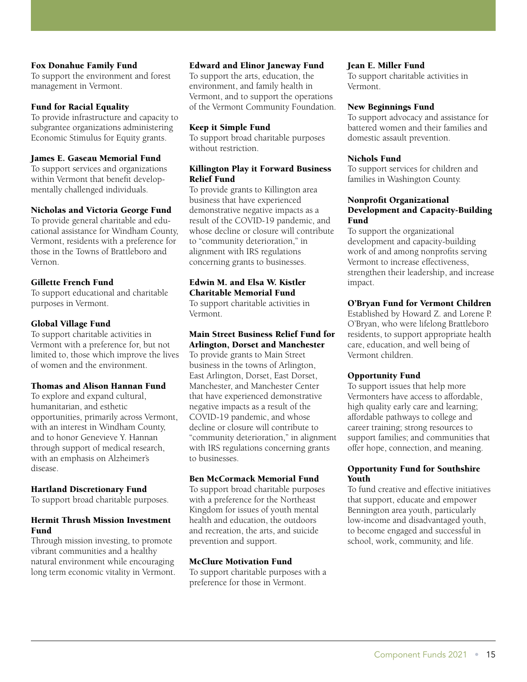#### Fox Donahue Family Fund

To support the environment and forest management in Vermont.

#### Fund for Racial Equality

To provide infrastructure and capacity to subgrantee organizations administering Economic Stimulus for Equity grants.

#### James E. Gaseau Memorial Fund

To support services and organizations within Vermont that benefit developmentally challenged individuals.

#### Nicholas and Victoria George Fund

To provide general charitable and educational assistance for Windham County, Vermont, residents with a preference for those in the Towns of Brattleboro and Vernon.

#### Gillette French Fund

To support educational and charitable purposes in Vermont.

#### Global Village Fund

To support charitable activities in Vermont with a preference for, but not limited to, those which improve the lives of women and the environment.

#### Thomas and Alison Hannan Fund

To explore and expand cultural, humanitarian, and esthetic opportunities, primarily across Vermont, with an interest in Windham County, and to honor Genevieve Y. Hannan through support of medical research, with an emphasis on Alzheimer's disease.

#### Hartland Discretionary Fund

To support broad charitable purposes.

#### Hermit Thrush Mission Investment Fund

Through mission investing, to promote vibrant communities and a healthy natural environment while encouraging long term economic vitality in Vermont.

#### Edward and Elinor Janeway Fund

To support the arts, education, the environment, and family health in Vermont, and to support the operations of the Vermont Community Foundation.

#### Keep it Simple Fund

To support broad charitable purposes without restriction.

#### Killington Play it Forward Business Relief Fund

To provide grants to Killington area business that have experienced demonstrative negative impacts as a result of the COVID-19 pandemic, and whose decline or closure will contribute to "community deterioration," in alignment with IRS regulations concerning grants to businesses.

#### Edwin M. and Elsa W. Kistler Charitable Memorial Fund

To support charitable activities in Vermont.

# Main Street Business Relief Fund for Arlington, Dorset and Manchester

To provide grants to Main Street business in the towns of Arlington, East Arlington, Dorset, East Dorset, Manchester, and Manchester Center that have experienced demonstrative negative impacts as a result of the COVID-19 pandemic, and whose decline or closure will contribute to "community deterioration," in alignment with IRS regulations concerning grants to businesses.

# Ben McCormack Memorial Fund

To support broad charitable purposes with a preference for the Northeast Kingdom for issues of youth mental health and education, the outdoors and recreation, the arts, and suicide prevention and support.

#### McClure Motivation Fund

To support charitable purposes with a preference for those in Vermont.

#### Jean E. Miller Fund

To support charitable activities in Vermont.

#### New Beginnings Fund

To support advocacy and assistance for battered women and their families and domestic assault prevention.

#### Nichols Fund

To support services for children and families in Washington County.

#### Nonprofit Organizational Development and Capacity-Building Fund

To support the organizational development and capacity-building work of and among nonprofits serving Vermont to increase effectiveness, strengthen their leadership, and increase impact.

#### O'Bryan Fund for Vermont Children

Established by Howard Z. and Lorene P. O'Bryan, who were lifelong Brattleboro residents, to support appropriate health care, education, and well being of Vermont children.

#### Opportunity Fund

To support issues that help more Vermonters have access to affordable, high quality early care and learning; affordable pathways to college and career training; strong resources to support families; and communities that offer hope, connection, and meaning.

# Opportunity Fund for Southshire **Youth**

To fund creative and effective initiatives that support, educate and empower Bennington area youth, particularly low-income and disadvantaged youth, to become engaged and successful in school, work, community, and life.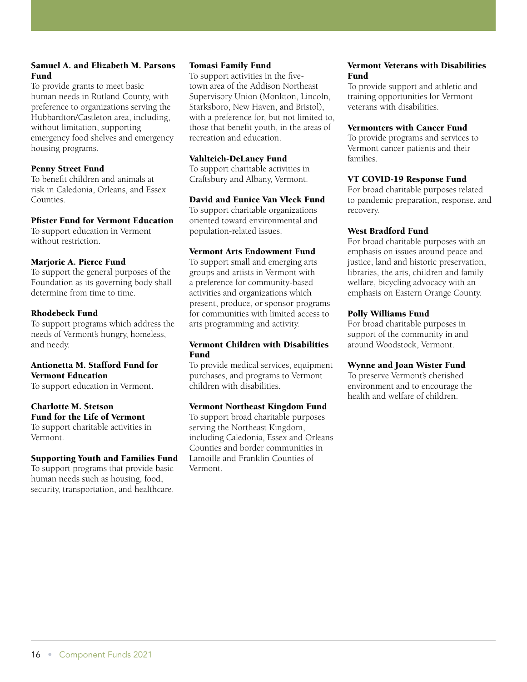# Samuel A. and Elizabeth M. Parsons Fund

To provide grants to meet basic human needs in Rutland County, with preference to organizations serving the Hubbardton/Castleton area, including, without limitation, supporting emergency food shelves and emergency housing programs.

# Penny Street Fund

To benefit children and animals at risk in Caledonia, Orleans, and Essex Counties.

# Pfister Fund for Vermont Education

To support education in Vermont without restriction.

# Marjorie A. Pierce Fund

To support the general purposes of the Foundation as its governing body shall determine from time to time.

# Rhodebeck Fund

To support programs which address the needs of Vermont's hungry, homeless, and needy.

# Antionetta M. Stafford Fund for Vermont Education

To support education in Vermont.

#### Charlotte M. Stetson

Fund for the Life of Vermont

To support charitable activities in Vermont.

# Supporting Youth and Families Fund

To support programs that provide basic human needs such as housing, food, security, transportation, and healthcare.

#### Tomasi Family Fund

To support activities in the fivetown area of the Addison Northeast Supervisory Union (Monkton, Lincoln, Starksboro, New Haven, and Bristol), with a preference for, but not limited to, those that benefit youth, in the areas of recreation and education.

# Vahlteich-DeLaney Fund

To support charitable activities in Craftsbury and Albany, Vermont.

# David and Eunice Van Vleck Fund

To support charitable organizations oriented toward environmental and population-related issues.

# Vermont Arts Endowment Fund

To support small and emerging arts groups and artists in Vermont with a preference for community-based activities and organizations which present, produce, or sponsor programs for communities with limited access to arts programming and activity.

# Vermont Children with Disabilities Fund

To provide medical services, equipment purchases, and programs to Vermont children with disabilities.

#### Vermont Northeast Kingdom Fund

To support broad charitable purposes serving the Northeast Kingdom, including Caledonia, Essex and Orleans Counties and border communities in Lamoille and Franklin Counties of Vermont.

#### Vermont Veterans with Disabilities Fund

To provide support and athletic and training opportunities for Vermont veterans with disabilities.

#### Vermonters with Cancer Fund

To provide programs and services to Vermont cancer patients and their families.

# VT COVID-19 Response Fund

For broad charitable purposes related to pandemic preparation, response, and recovery.

# West Bradford Fund

For broad charitable purposes with an emphasis on issues around peace and justice, land and historic preservation, libraries, the arts, children and family welfare, bicycling advocacy with an emphasis on Eastern Orange County.

# Polly Williams Fund

For broad charitable purposes in support of the community in and around Woodstock, Vermont.

# Wynne and Joan Wister Fund

To preserve Vermont's cherished environment and to encourage the health and welfare of children.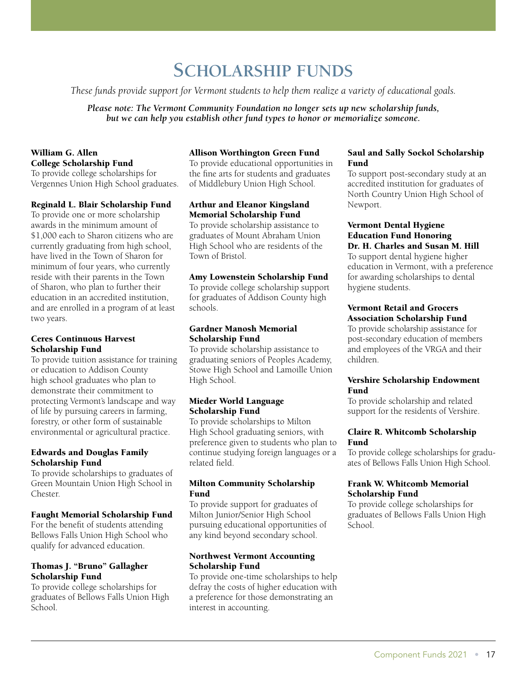# **Scholarship funds**

*These funds provide support for Vermont students to help them realize a variety of educational goals.* 

*Please note: The Vermont Community Foundation no longer sets up new scholarship funds, but we can help you establish other fund types to honor or memorialize someone.*

# William G. Allen College Scholarship Fund

To provide college scholarships for Vergennes Union High School graduates.

# Reginald L. Blair Scholarship Fund

To provide one or more scholarship awards in the minimum amount of \$1,000 each to Sharon citizens who are currently graduating from high school, have lived in the Town of Sharon for minimum of four years, who currently reside with their parents in the Town of Sharon, who plan to further their education in an accredited institution, and are enrolled in a program of at least two years.

# Ceres Continuous Harvest Scholarship Fund

To provide tuition assistance for training or education to Addison County high school graduates who plan to demonstrate their commitment to protecting Vermont's landscape and way of life by pursuing careers in farming, forestry, or other form of sustainable environmental or agricultural practice.

# Edwards and Douglas Family Scholarship Fund

To provide scholarships to graduates of Green Mountain Union High School in Chester.

# Faught Memorial Scholarship Fund

For the benefit of students attending Bellows Falls Union High School who qualify for advanced education.

# Thomas J. "Bruno" Gallagher Scholarship Fund

To provide college scholarships for graduates of Bellows Falls Union High School.

# Allison Worthington Green Fund

To provide educational opportunities in the fine arts for students and graduates of Middlebury Union High School.

# Arthur and Eleanor Kingsland Memorial Scholarship Fund

To provide scholarship assistance to graduates of Mount Abraham Union High School who are residents of the Town of Bristol.

# Amy Lowenstein Scholarship Fund

To provide college scholarship support for graduates of Addison County high schools.

# Gardner Manosh Memorial Scholarship Fund

To provide scholarship assistance to graduating seniors of Peoples Academy, Stowe High School and Lamoille Union High School.

# Mieder World Language Scholarship Fund

To provide scholarships to Milton High School graduating seniors, with preference given to students who plan to continue studying foreign languages or a related field.

# Milton Community Scholarship Fund

To provide support for graduates of Milton Junior/Senior High School pursuing educational opportunities of any kind beyond secondary school.

# Northwest Vermont Accounting Scholarship Fund

To provide one-time scholarships to help defray the costs of higher education with a preference for those demonstrating an interest in accounting.

# Saul and Sally Sockol Scholarship Fund

To support post-secondary study at an accredited institution for graduates of North Country Union High School of Newport.

#### Vermont Dental Hygiene Education Fund Honoring Dr. H. Charles and Susan M. Hill

To support dental hygiene higher education in Vermont, with a preference for awarding scholarships to dental hygiene students.

#### Vermont Retail and Grocers Association Scholarship Fund

To provide scholarship assistance for post-secondary education of members and employees of the VRGA and their children.

# Vershire Scholarship Endowment Fund

To provide scholarship and related support for the residents of Vershire.

# Claire R. Whitcomb Scholarship Fund

To provide college scholarships for graduates of Bellows Falls Union High School.

# Frank W. Whitcomb Memorial Scholarship Fund

To provide college scholarships for graduates of Bellows Falls Union High School.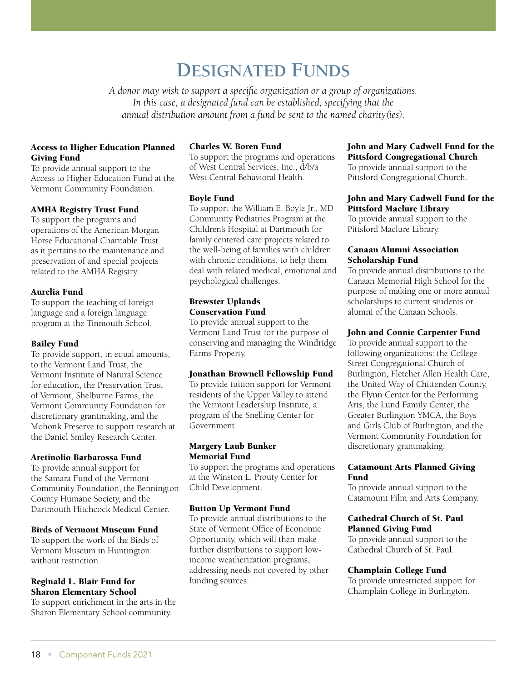# **Designated Funds**

*A donor may wish to support a specific organization or a group of organizations. In this case, a designated fund can be established, specifying that the annual distribution amount from a fund be sent to the named charity(ies).*

# Access to Higher Education Planned Giving Fund

To provide annual support to the Access to Higher Education Fund at the Vermont Community Foundation.

# AMHA Registry Trust Fund

To support the programs and operations of the American Morgan Horse Educational Charitable Trust as it pertains to the maintenance and preservation of and special projects related to the AMHA Registry.

# Aurelia Fund

To support the teaching of foreign language and a foreign language program at the Tinmouth School.

# Bailey Fund

To provide support, in equal amounts, to the Vermont Land Trust, the Vermont Institute of Natural Science for education, the Preservation Trust of Vermont, Shelburne Farms, the Vermont Community Foundation for discretionary grantmaking, and the Mohonk Preserve to support research at the Daniel Smiley Research Center.

# Aretinolio Barbarossa Fund

To provide annual support for the Samara Fund of the Vermont Community Foundation, the Bennington County Humane Society, and the Dartmouth Hitchcock Medical Center.

# Birds of Vermont Museum Fund

To support the work of the Birds of Vermont Museum in Huntington without restriction.

# Reginald L. Blair Fund for Sharon Elementary School

To support enrichment in the arts in the Sharon Elementary School community.

# Charles W. Boren Fund

To support the programs and operations of West Central Services, Inc., d/b/a West Central Behavioral Health.

# Boyle Fund

To support the William E. Boyle Jr., MD Community Pediatrics Program at the Children's Hospital at Dartmouth for family centered care projects related to the well-being of families with children with chronic conditions, to help them deal with related medical, emotional and psychological challenges.

# Brewster Uplands Conservation Fund

To provide annual support to the Vermont Land Trust for the purpose of conserving and managing the Windridge Farms Property.

# Jonathan Brownell Fellowship Fund

To provide tuition support for Vermont residents of the Upper Valley to attend the Vermont Leadership Institute, a program of the Snelling Center for Government.

# Margery Laub Bunker Memorial Fund

To support the programs and operations at the Winston L. Prouty Center for Child Development.

#### Button Up Vermont Fund

To provide annual distributions to the State of Vermont Office of Economic Opportunity, which will then make further distributions to support lowincome weatherization programs, addressing needs not covered by other funding sources.

#### John and Mary Cadwell Fund for the Pittsford Congregational Church

To provide annual support to the Pittsford Congregational Church.

# John and Mary Cadwell Fund for the Pittsford Maclure Library

To provide annual support to the Pittsford Maclure Library.

# Canaan Alumni Association Scholarship Fund

To provide annual distributions to the Canaan Memorial High School for the purpose of making one or more annual scholarships to current students or alumni of the Canaan Schools.

# John and Connie Carpenter Fund

To provide annual support to the following organizations: the College Street Congregational Church of Burlington, Fletcher Allen Health Care, the United Way of Chittenden County, the Flynn Center for the Performing Arts, the Lund Family Center, the Greater Burlington YMCA, the Boys and Girls Club of Burlington, and the Vermont Community Foundation for discretionary grantmaking.

# Catamount Arts Planned Giving Fund

To provide annual support to the Catamount Film and Arts Company.

# Cathedral Church of St. Paul Planned Giving Fund

To provide annual support to the Cathedral Church of St. Paul.

# Champlain College Fund

To provide unrestricted support for Champlain College in Burlington.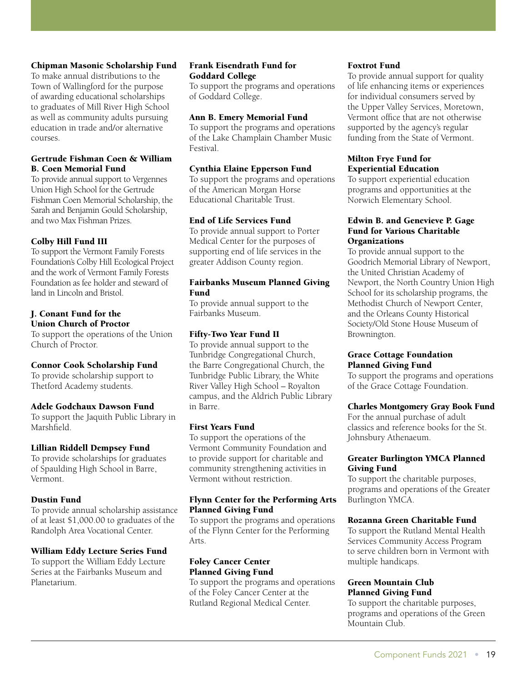# Chipman Masonic Scholarship Fund

To make annual distributions to the Town of Wallingford for the purpose of awarding educational scholarships to graduates of Mill River High School as well as community adults pursuing education in trade and/or alternative courses.

# Gertrude Fishman Coen & William B. Coen Memorial Fund

To provide annual support to Vergennes Union High School for the Gertrude Fishman Coen Memorial Scholarship, the Sarah and Benjamin Gould Scholarship, and two Max Fishman Prizes.

# Colby Hill Fund III

To support the Vermont Family Forests Foundation's Colby Hill Ecological Project and the work of Vermont Family Forests Foundation as fee holder and steward of land in Lincoln and Bristol.

#### J. Conant Fund for the Union Church of Proctor

To support the operations of the Union Church of Proctor.

#### Connor Cook Scholarship Fund

To provide scholarship support to Thetford Academy students.

#### Adele Godchaux Dawson Fund

To support the Jaquith Public Library in Marshfield.

#### Lillian Riddell Dempsey Fund

To provide scholarships for graduates of Spaulding High School in Barre, Vermont.

# Dustin Fund

To provide annual scholarship assistance of at least \$1,000.00 to graduates of the Randolph Area Vocational Center.

# William Eddy Lecture Series Fund

To support the William Eddy Lecture Series at the Fairbanks Museum and Planetarium.

#### Frank Eisendrath Fund for Goddard College

To support the programs and operations of Goddard College.

#### Ann B. Emery Memorial Fund

To support the programs and operations of the Lake Champlain Chamber Music Festival.

#### Cynthia Elaine Epperson Fund

To support the programs and operations of the American Morgan Horse Educational Charitable Trust.

#### End of Life Services Fund

To provide annual support to Porter Medical Center for the purposes of supporting end of life services in the greater Addison County region.

# Fairbanks Museum Planned Giving Fund

To provide annual support to the Fairbanks Museum.

#### Fifty-Two Year Fund II

To provide annual support to the Tunbridge Congregational Church, the Barre Congregational Church, the Tunbridge Public Library, the White River Valley High School – Royalton campus, and the Aldrich Public Library in Barre.

#### First Years Fund

To support the operations of the Vermont Community Foundation and to provide support for charitable and community strengthening activities in Vermont without restriction.

# Flynn Center for the Performing Arts Planned Giving Fund

To support the programs and operations of the Flynn Center for the Performing Arts.

# Foley Cancer Center Planned Giving Fund

To support the programs and operations of the Foley Cancer Center at the Rutland Regional Medical Center.

#### Foxtrot Fund

To provide annual support for quality of life enhancing items or experiences for individual consumers served by the Upper Valley Services, Moretown, Vermont office that are not otherwise supported by the agency's regular funding from the State of Vermont.

#### Milton Frye Fund for Experiential Education

To support experiential education programs and opportunities at the Norwich Elementary School.

#### Edwin B. and Genevieve P. Gage Fund for Various Charitable **Organizations**

To provide annual support to the Goodrich Memorial Library of Newport, the United Christian Academy of Newport, the North Country Union High School for its scholarship programs, the Methodist Church of Newport Center, and the Orleans County Historical Society/Old Stone House Museum of Brownington.

# Grace Cottage Foundation Planned Giving Fund

To support the programs and operations of the Grace Cottage Foundation.

#### Charles Montgomery Gray Book Fund

For the annual purchase of adult classics and reference books for the St. Johnsbury Athenaeum.

#### Greater Burlington YMCA Planned Giving Fund

To support the charitable purposes, programs and operations of the Greater Burlington YMCA.

#### Rozanna Green Charitable Fund

To support the Rutland Mental Health Services Community Access Program to serve children born in Vermont with multiple handicaps.

# Green Mountain Club Planned Giving Fund

To support the charitable purposes, programs and operations of the Green Mountain Club.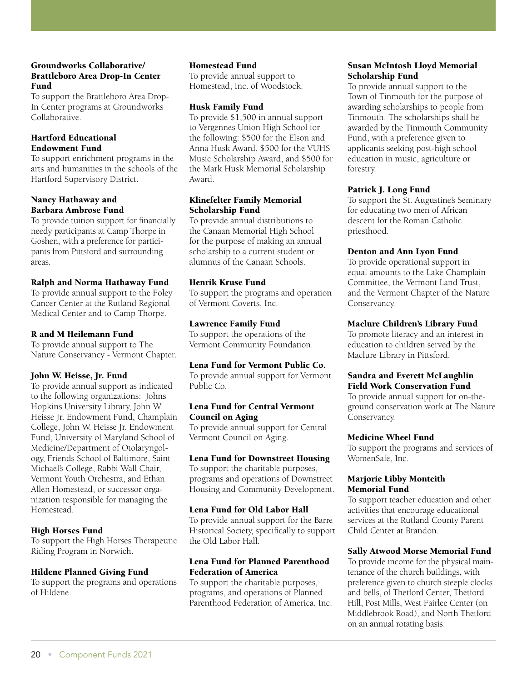# Groundworks Collaborative/ Brattleboro Area Drop-In Center Fund

To support the Brattleboro Area Drop-In Center programs at Groundworks Collaborative.

# Hartford Educational Endowment Fund

To support enrichment programs in the arts and humanities in the schools of the Hartford Supervisory District.

# Nancy Hathaway and Barbara Ambrose Fund

To provide tuition support for financially needy participants at Camp Thorpe in Goshen, with a preference for participants from Pittsford and surrounding areas.

# Ralph and Norma Hathaway Fund

To provide annual support to the Foley Cancer Center at the Rutland Regional Medical Center and to Camp Thorpe.

# R and M Heilemann Fund

To provide annual support to The Nature Conservancy - Vermont Chapter.

# John W. Heisse, Jr. Fund

To provide annual support as indicated to the following organizations: Johns Hopkins University Library, John W. Heisse Jr. Endowment Fund, Champlain College, John W. Heisse Jr. Endowment Fund, University of Maryland School of Medicine/Department of Otolaryngology, Friends School of Baltimore, Saint Michael's College, Rabbi Wall Chair, Vermont Youth Orchestra, and Ethan Allen Homestead, or successor organization responsible for managing the Homestead.

# High Horses Fund

To support the High Horses Therapeutic Riding Program in Norwich.

# Hildene Planned Giving Fund

To support the programs and operations of Hildene.

# Homestead Fund

To provide annual support to Homestead, Inc. of Woodstock.

# Husk Family Fund

To provide \$1,500 in annual support to Vergennes Union High School for the following: \$500 for the Elson and Anna Husk Award, \$500 for the VUHS Music Scholarship Award, and \$500 for the Mark Husk Memorial Scholarship Award.

# Klinefelter Family Memorial Scholarship Fund

To provide annual distributions to the Canaan Memorial High School for the purpose of making an annual scholarship to a current student or alumnus of the Canaan Schools.

# Henrik Kruse Fund

To support the programs and operation of Vermont Coverts, Inc.

# Lawrence Family Fund

To support the operations of the Vermont Community Foundation.

# Lena Fund for Vermont Public Co.

To provide annual support for Vermont Public Co.

# Lena Fund for Central Vermont Council on Aging

To provide annual support for Central Vermont Council on Aging.

# Lena Fund for Downstreet Housing

To support the charitable purposes, programs and operations of Downstreet Housing and Community Development.

# Lena Fund for Old Labor Hall

To provide annual support for the Barre Historical Society, specifically to support the Old Labor Hall.

# Lena Fund for Planned Parenthood Federation of America

To support the charitable purposes, programs, and operations of Planned Parenthood Federation of America, Inc.

# Susan McIntosh Lloyd Memorial Scholarship Fund

To provide annual support to the Town of Tinmouth for the purpose of awarding scholarships to people from Tinmouth. The scholarships shall be awarded by the Tinmouth Community Fund, with a preference given to applicants seeking post-high school education in music, agriculture or forestry.

# Patrick J. Long Fund

To support the St. Augustine's Seminary for educating two men of African descent for the Roman Catholic priesthood.

# Denton and Ann Lyon Fund

To provide operational support in equal amounts to the Lake Champlain Committee, the Vermont Land Trust, and the Vermont Chapter of the Nature Conservancy.

# Maclure Children's Library Fund

To promote literacy and an interest in education to children served by the Maclure Library in Pittsford.

# Sandra and Everett McLaughlin Field Work Conservation Fund

To provide annual support for on-theground conservation work at The Nature Conservancy.

# Medicine Wheel Fund

To support the programs and services of WomenSafe, Inc.

# Marjorie Libby Monteith Memorial Fund

To support teacher education and other activities that encourage educational services at the Rutland County Parent Child Center at Brandon.

# Sally Atwood Morse Memorial Fund

To provide income for the physical maintenance of the church buildings, with preference given to church steeple clocks and bells, of Thetford Center, Thetford Hill, Post Mills, West Fairlee Center (on Middlebrook Road), and North Thetford on an annual rotating basis.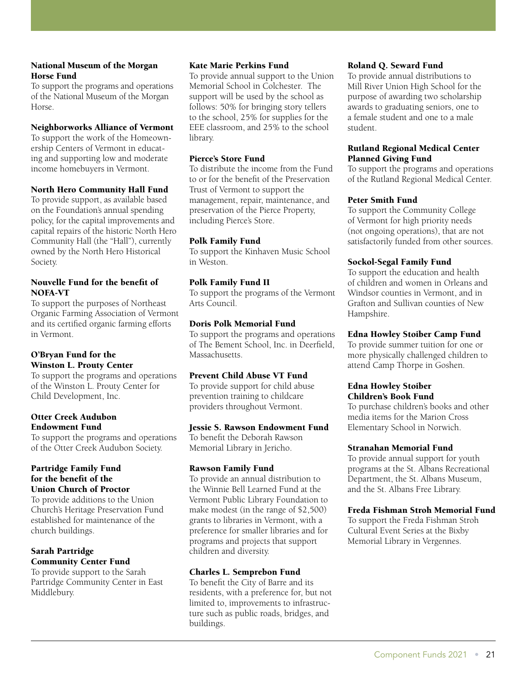# National Museum of the Morgan Horse Fund

To support the programs and operations of the National Museum of the Morgan Horse.

# Neighborworks Alliance of Vermont

To support the work of the Homeownership Centers of Vermont in educating and supporting low and moderate income homebuyers in Vermont.

# North Hero Community Hall Fund

To provide support, as available based on the Foundation's annual spending policy, for the capital improvements and capital repairs of the historic North Hero Community Hall (the "Hall"), currently owned by the North Hero Historical Society.

# Nouvelle Fund for the benefit of NOFA-VT

To support the purposes of Northeast Organic Farming Association of Vermont and its certified organic farming efforts in Vermont.

# O'Bryan Fund for the Winston L. Prouty Center

To support the programs and operations of the Winston L. Prouty Center for Child Development, Inc.

# Otter Creek Audubon Endowment Fund

To support the programs and operations of the Otter Creek Audubon Society.

#### Partridge Family Fund for the benefit of the Union Church of Proctor

To provide additions to the Union Church's Heritage Preservation Fund established for maintenance of the church buildings.

# Sarah Partridge Community Center Fund

To provide support to the Sarah Partridge Community Center in East Middlebury.

# Kate Marie Perkins Fund

To provide annual support to the Union Memorial School in Colchester. The support will be used by the school as follows: 50% for bringing story tellers to the school, 25% for supplies for the EEE classroom, and 25% to the school library.

# Pierce's Store Fund

To distribute the income from the Fund to or for the benefit of the Preservation Trust of Vermont to support the management, repair, maintenance, and preservation of the Pierce Property, including Pierce's Store.

# Polk Family Fund

To support the Kinhaven Music School in Weston.

# Polk Family Fund II

To support the programs of the Vermont Arts Council.

# Doris Polk Memorial Fund

To support the programs and operations of The Bement School, Inc. in Deerfield, Massachusetts.

# Prevent Child Abuse VT Fund

To provide support for child abuse prevention training to childcare providers throughout Vermont.

# Jessie S. Rawson Endowment Fund

#### To benefit the Deborah Rawson Memorial Library in Jericho.

# Rawson Family Fund

To provide an annual distribution to the Winnie Bell Learned Fund at the Vermont Public Library Foundation to make modest (in the range of \$2,500) grants to libraries in Vermont, with a preference for smaller libraries and for programs and projects that support children and diversity.

# Charles L. Semprebon Fund

To benefit the City of Barre and its residents, with a preference for, but not limited to, improvements to infrastructure such as public roads, bridges, and buildings.

# Roland Q. Seward Fund

To provide annual distributions to Mill River Union High School for the purpose of awarding two scholarship awards to graduating seniors, one to a female student and one to a male student.

# Rutland Regional Medical Center Planned Giving Fund

To support the programs and operations of the Rutland Regional Medical Center.

# Peter Smith Fund

To support the Community College of Vermont for high priority needs (not ongoing operations), that are not satisfactorily funded from other sources.

# Sockol-Segal Family Fund

To support the education and health of children and women in Orleans and Windsor counties in Vermont, and in Grafton and Sullivan counties of New Hampshire.

# Edna Howley Stoiber Camp Fund

To provide summer tuition for one or more physically challenged children to attend Camp Thorpe in Goshen.

#### Edna Howley Stoiber Children's Book Fund

To purchase children's books and other media items for the Marion Cross Elementary School in Norwich.

# Stranahan Memorial Fund

To provide annual support for youth programs at the St. Albans Recreational Department, the St. Albans Museum, and the St. Albans Free Library.

# Freda Fishman Stroh Memorial Fund

To support the Freda Fishman Stroh Cultural Event Series at the Bixby Memorial Library in Vergennes.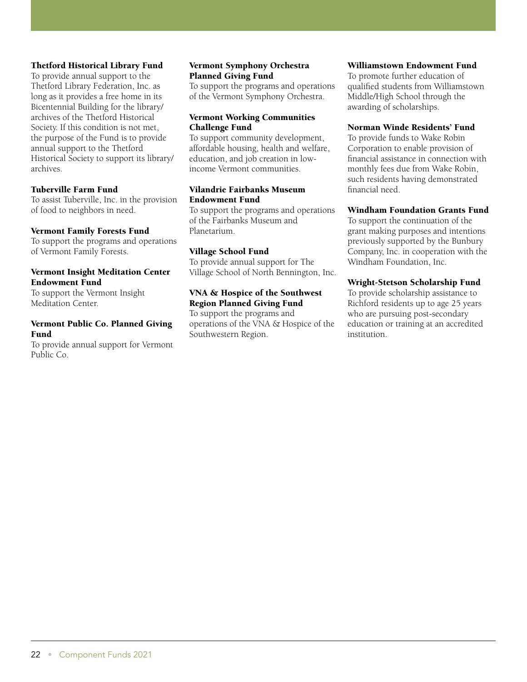# Thetford Historical Library Fund

To provide annual support to the Thetford Library Federation, Inc. as long as it provides a free home in its Bicentennial Building for the library/ archives of the Thetford Historical Society. If this condition is not met, the purpose of the Fund is to provide annual support to the Thetford Historical Society to support its library/ archives.

#### Tuberville Farm Fund

To assist Tuberville, Inc. in the provision of food to neighbors in need.

#### Vermont Family Forests Fund

To support the programs and operations of Vermont Family Forests.

#### Vermont Insight Meditation Center Endowment Fund

To support the Vermont Insight Meditation Center.

#### Vermont Public Co. Planned Giving Fund

To provide annual support for Vermont Public Co.

#### Vermont Symphony Orchestra Planned Giving Fund

To support the programs and operations of the Vermont Symphony Orchestra.

#### Vermont Working Communities Challenge Fund

To support community development, affordable housing, health and welfare, education, and job creation in lowincome Vermont communities.

# Vilandrie Fairbanks Museum Endowment Fund

To support the programs and operations of the Fairbanks Museum and Planetarium.

#### Village School Fund

To provide annual support for The Village School of North Bennington, Inc.

# VNA & Hospice of the Southwest Region Planned Giving Fund

To support the programs and operations of the VNA & Hospice of the Southwestern Region.

#### Williamstown Endowment Fund

To promote further education of qualified students from Williamstown Middle/High School through the awarding of scholarships.

#### Norman Winde Residents' Fund

To provide funds to Wake Robin Corporation to enable provision of financial assistance in connection with monthly fees due from Wake Robin, such residents having demonstrated financial need.

#### Windham Foundation Grants Fund

To support the continuation of the grant making purposes and intentions previously supported by the Bunbury Company, Inc. in cooperation with the Windham Foundation, Inc.

#### Wright-Stetson Scholarship Fund

To provide scholarship assistance to Richford residents up to age 25 years who are pursuing post-secondary education or training at an accredited institution.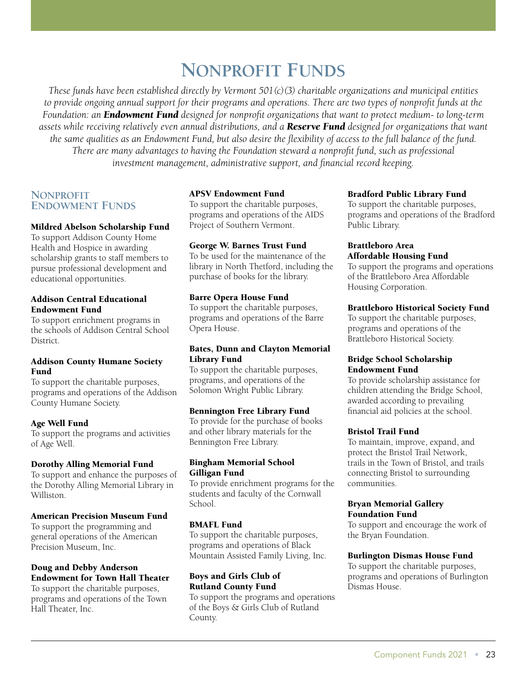# **Nonprofit Funds**

*These funds have been established directly by Vermont 501(c)(3) charitable organizations and municipal entities to provide ongoing annual support for their programs and operations. There are two types of nonprofit funds at the Foundation: an Endowment Fund designed for nonprofit organizations that want to protect medium- to long-term assets while receiving relatively even annual distributions, and a Reserve Fund designed for organizations that want the same qualities as an Endowment Fund, but also desire the flexibility of access to the full balance of the fund. There are many advantages to having the Foundation steward a nonprofit fund, such as professional investment management, administrative support, and financial record keeping.*

# **Nonprofit Endowment Funds**

# Mildred Abelson Scholarship Fund

To support Addison County Home Health and Hospice in awarding scholarship grants to staff members to pursue professional development and educational opportunities.

# Addison Central Educational Endowment Fund

To support enrichment programs in the schools of Addison Central School District.

# Addison County Humane Society Fund

To support the charitable purposes, programs and operations of the Addison County Humane Society.

# Age Well Fund

To support the programs and activities of Age Well.

# Dorothy Alling Memorial Fund

To support and enhance the purposes of the Dorothy Alling Memorial Library in Williston.

# American Precision Museum Fund

To support the programming and general operations of the American Precision Museum, Inc.

#### Doug and Debby Anderson Endowment for Town Hall Theater

To support the charitable purposes, programs and operations of the Town Hall Theater, Inc.

# APSV Endowment Fund

To support the charitable purposes, programs and operations of the AIDS Project of Southern Vermont.

# George W. Barnes Trust Fund

To be used for the maintenance of the library in North Thetford, including the purchase of books for the library.

# Barre Opera House Fund

To support the charitable purposes, programs and operations of the Barre Opera House.

# Bates, Dunn and Clayton Memorial Library Fund

To support the charitable purposes, programs, and operations of the Solomon Wright Public Library.

# Bennington Free Library Fund

To provide for the purchase of books and other library materials for the Bennington Free Library.

# Bingham Memorial School Gilligan Fund

To provide enrichment programs for the students and faculty of the Cornwall School.

# BMAFL Fund

To support the charitable purposes, programs and operations of Black Mountain Assisted Family Living, Inc.

# Boys and Girls Club of Rutland County Fund

To support the programs and operations of the Boys & Girls Club of Rutland County.

# Bradford Public Library Fund

To support the charitable purposes, programs and operations of the Bradford Public Library.

# Brattleboro Area Affordable Housing Fund

To support the programs and operations of the Brattleboro Area Affordable Housing Corporation.

# Brattleboro Historical Society Fund

To support the charitable purposes, programs and operations of the Brattleboro Historical Society.

# Bridge School Scholarship Endowment Fund

To provide scholarship assistance for children attending the Bridge School, awarded according to prevailing financial aid policies at the school.

# Bristol Trail Fund

To maintain, improve, expand, and protect the Bristol Trail Network, trails in the Town of Bristol, and trails connecting Bristol to surrounding communities.

#### Bryan Memorial Gallery Foundation Fund

To support and encourage the work of the Bryan Foundation.

# Burlington Dismas House Fund

To support the charitable purposes, programs and operations of Burlington Dismas House.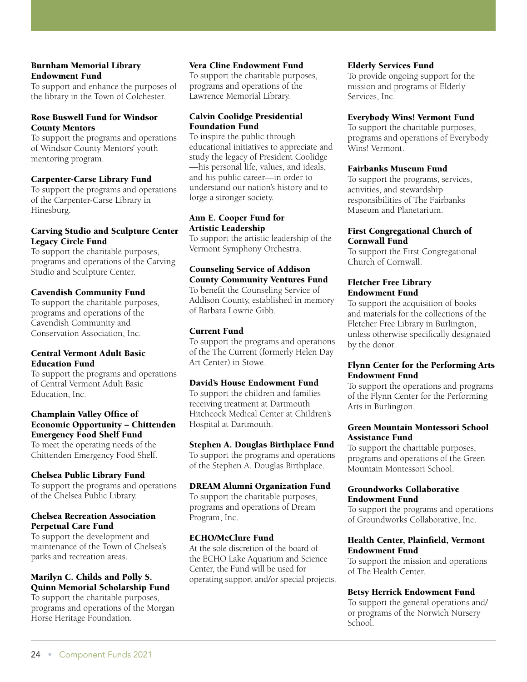#### Burnham Memorial Library Endowment Fund

To support and enhance the purposes of the library in the Town of Colchester.

# Rose Buswell Fund for Windsor County Mentors

To support the programs and operations of Windsor County Mentors' youth mentoring program.

# Carpenter-Carse Library Fund

To support the programs and operations of the Carpenter-Carse Library in Hinesburg.

# Carving Studio and Sculpture Center Legacy Circle Fund

To support the charitable purposes, programs and operations of the Carving Studio and Sculpture Center.

# Cavendish Community Fund

To support the charitable purposes, programs and operations of the Cavendish Community and Conservation Association, Inc.

# Central Vermont Adult Basic Education Fund

To support the programs and operations of Central Vermont Adult Basic Education, Inc.

# Champlain Valley Office of Economic Opportunity – Chittenden Emergency Food Shelf Fund

To meet the operating needs of the Chittenden Emergency Food Shelf.

# Chelsea Public Library Fund

To support the programs and operations of the Chelsea Public Library.

# Chelsea Recreation Association Perpetual Care Fund

To support the development and maintenance of the Town of Chelsea's parks and recreation areas.

# Marilyn C. Childs and Polly S. Quinn Memorial Scholarship Fund

To support the charitable purposes, programs and operations of the Morgan Horse Heritage Foundation.

# Vera Cline Endowment Fund

To support the charitable purposes, programs and operations of the Lawrence Memorial Library.

# Calvin Coolidge Presidential Foundation Fund

To inspire the public through educational initiatives to appreciate and study the legacy of President Coolidge —his personal life, values, and ideals, and his public career—in order to understand our nation's history and to forge a stronger society.

# Ann E. Cooper Fund for Artistic Leadership

To support the artistic leadership of the Vermont Symphony Orchestra.

# Counseling Service of Addison County Community Ventures Fund

To benefit the Counseling Service of Addison County, established in memory of Barbara Lowrie Gibb.

# Current Fund

To support the programs and operations of the The Current (formerly Helen Day Art Center) in Stowe.

# David's House Endowment Fund

To support the children and families receiving treatment at Dartmouth Hitchcock Medical Center at Children's Hospital at Dartmouth.

# Stephen A. Douglas Birthplace Fund

To support the programs and operations of the Stephen A. Douglas Birthplace.

# DREAM Alumni Organization Fund

To support the charitable purposes, programs and operations of Dream Program, Inc.

# ECHO/McClure Fund

At the sole discretion of the board of the ECHO Lake Aquarium and Science Center, the Fund will be used for operating support and/or special projects.

# Elderly Services Fund

To provide ongoing support for the mission and programs of Elderly Services, Inc.

#### Everybody Wins! Vermont Fund

To support the charitable purposes, programs and operations of Everybody Wins! Vermont.

# Fairbanks Museum Fund

To support the programs, services, activities, and stewardship responsibilities of The Fairbanks Museum and Planetarium.

# First Congregational Church of Cornwall Fund

To support the First Congregational Church of Cornwall.

# Fletcher Free Library Endowment Fund

To support the acquisition of books and materials for the collections of the Fletcher Free Library in Burlington, unless otherwise specifically designated by the donor.

# Flynn Center for the Performing Arts Endowment Fund

To support the operations and programs of the Flynn Center for the Performing Arts in Burlington.

# Green Mountain Montessori School Assistance Fund

To support the charitable purposes, programs and operations of the Green Mountain Montessori School.

# Groundworks Collaborative Endowment Fund

To support the programs and operations of Groundworks Collaborative, Inc.

# Health Center, Plainfield, Vermont Endowment Fund

To support the mission and operations of The Health Center.

# Betsy Herrick Endowment Fund

To support the general operations and/ or programs of the Norwich Nursery School.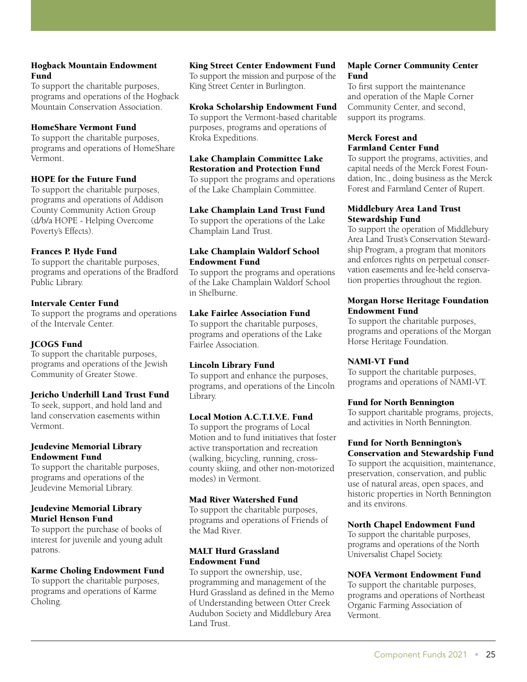# Hogback Mountain Endowment Fund

To support the charitable purposes, programs and operations of the Hogback Mountain Conservation Association.

# HomeShare Vermont Fund

To support the charitable purposes, programs and operations of HomeShare Vermont.

# HOPE for the Future Fund

To support the charitable purposes, programs and operations of Addison County Community Action Group (d/b/a HOPE - Helping Overcome Poverty's Effects).

# Frances P. Hyde Fund

To support the charitable purposes, programs and operations of the Bradford Public Library.

# Intervale Center Fund

To support the programs and operations of the Intervale Center.

# JCOGS Fund

To support the charitable purposes, programs and operations of the Jewish Community of Greater Stowe.

# Jericho Underhill Land Trust Fund

To seek, support, and hold land and land conservation easements within Vermont.

# Jeudevine Memorial Library Endowment Fund

To support the charitable purposes, programs and operations of the Jeudevine Memorial Library.

# Jeudevine Memorial Library Muriel Henson Fund

To support the purchase of books of interest for juvenile and young adult patrons.

# Karme Choling Endowment Fund

To support the charitable purposes, programs and operations of Karme Choling.

#### King Street Center Endowment Fund To support the mission and purpose of the King Street Center in Burlington.

# Kroka Scholarship Endowment Fund

To support the Vermont-based charitable purposes, programs and operations of Kroka Expeditions.

# Lake Champlain Committee Lake Restoration and Protection Fund

To support the programs and operations of the Lake Champlain Committee.

#### Lake Champlain Land Trust Fund To support the operations of the Lake

Champlain Land Trust.

# Lake Champlain Waldorf School Endowment Fund

To support the programs and operations of the Lake Champlain Waldorf School in Shelburne.

# Lake Fairlee Association Fund

To support the charitable purposes, programs and operations of the Lake Fairlee Association.

# Lincoln Library Fund

To support and enhance the purposes, programs, and operations of the Lincoln Library.

# Local Motion A.C.T.I.V.E. Fund

To support the programs of Local Motion and to fund initiatives that foster active transportation and recreation (walking, bicycling, running, crosscounty skiing, and other non-motorized modes) in Vermont.

# Mad River Watershed Fund

To support the charitable purposes, programs and operations of Friends of the Mad River.

# MALT Hurd Grassland Endowment Fund

To support the ownership, use, programming and management of the Hurd Grassland as defined in the Memo of Understanding between Otter Creek Audubon Society and Middlebury Area Land Trust.

# Maple Corner Community Center Fund

To first support the maintenance and operation of the Maple Corner Community Center, and second, support its programs.

# Merck Forest and Farmland Center Fund

To support the programs, activities, and capital needs of the Merck Forest Foundation, Inc., doing business as the Merck Forest and Farmland Center of Rupert.

# Middlebury Area Land Trust Stewardship Fund

To support the operation of Middlebury Area Land Trust's Conservation Stewardship Program, a program that monitors and enforces rights on perpetual conservation easements and fee-held conservation properties throughout the region.

# Morgan Horse Heritage Foundation Endowment Fund

To support the charitable purposes, programs and operations of the Morgan Horse Heritage Foundation.

# NAMI-VT Fund

To support the charitable purposes, programs and operations of NAMI-VT.

# Fund for North Bennington

To support charitable programs, projects, and activities in North Bennington.

#### Fund for North Bennington's Conservation and Stewardship Fund

To support the acquisition, maintenance, preservation, conservation, and public use of natural areas, open spaces, and historic properties in North Bennington and its environs.

# North Chapel Endowment Fund

To support the charitable purposes, programs and operations of the North Universalist Chapel Society.

# NOFA Vermont Endowment Fund

To support the charitable purposes, programs and operations of Northeast Organic Farming Association of Vermont.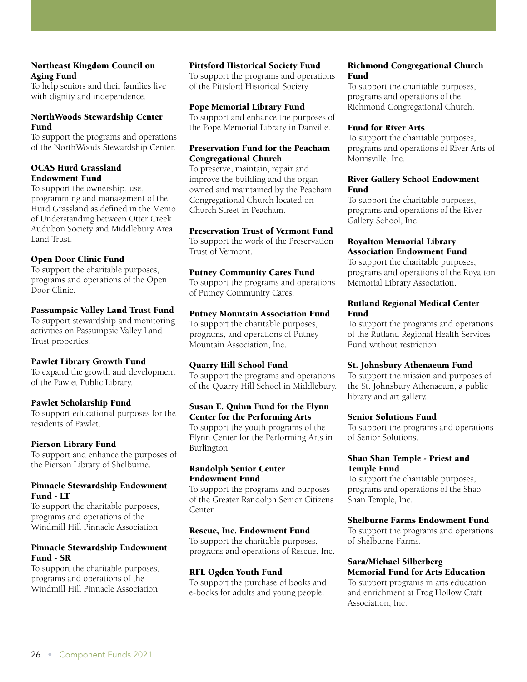#### Northeast Kingdom Council on Aging Fund

To help seniors and their families live with dignity and independence.

# NorthWoods Stewardship Center Fund

To support the programs and operations of the NorthWoods Stewardship Center.

# OCAS Hurd Grassland Endowment Fund

To support the ownership, use, programming and management of the Hurd Grassland as defined in the Memo of Understanding between Otter Creek Audubon Society and Middlebury Area Land Trust.

# Open Door Clinic Fund

To support the charitable purposes, programs and operations of the Open Door Clinic.

# Passumpsic Valley Land Trust Fund

To support stewardship and monitoring activities on Passumpsic Valley Land Trust properties.

# Pawlet Library Growth Fund

To expand the growth and development of the Pawlet Public Library.

# Pawlet Scholarship Fund

To support educational purposes for the residents of Pawlet.

# Pierson Library Fund

To support and enhance the purposes of the Pierson Library of Shelburne.

# Pinnacle Stewardship Endowment Fund - LT

To support the charitable purposes, programs and operations of the Windmill Hill Pinnacle Association.

# Pinnacle Stewardship Endowment Fund - SR

To support the charitable purposes, programs and operations of the Windmill Hill Pinnacle Association.

# Pittsford Historical Society Fund

To support the programs and operations of the Pittsford Historical Society.

# Pope Memorial Library Fund

To support and enhance the purposes of the Pope Memorial Library in Danville.

# Preservation Fund for the Peacham Congregational Church

To preserve, maintain, repair and improve the building and the organ owned and maintained by the Peacham Congregational Church located on Church Street in Peacham.

# Preservation Trust of Vermont Fund

To support the work of the Preservation Trust of Vermont.

# Putney Community Cares Fund

To support the programs and operations of Putney Community Cares.

# Putney Mountain Association Fund

To support the charitable purposes, programs, and operations of Putney Mountain Association, Inc.

# Quarry Hill School Fund

To support the programs and operations of the Quarry Hill School in Middlebury.

# Susan E. Quinn Fund for the Flynn Center for the Performing Arts

To support the youth programs of the Flynn Center for the Performing Arts in Burlington.

# Randolph Senior Center Endowment Fund

To support the programs and purposes of the Greater Randolph Senior Citizens Center.

# Rescue, Inc. Endowment Fund

To support the charitable purposes, programs and operations of Rescue, Inc.

# RFL Ogden Youth Fund

To support the purchase of books and e-books for adults and young people.

# Richmond Congregational Church Fund

To support the charitable purposes, programs and operations of the Richmond Congregational Church.

# Fund for River Arts

To support the charitable purposes, programs and operations of River Arts of Morrisville, Inc.

#### River Gallery School Endowment Fund

To support the charitable purposes, programs and operations of the River Gallery School, Inc.

# Royalton Memorial Library Association Endowment Fund

To support the charitable purposes, programs and operations of the Royalton Memorial Library Association.

# Rutland Regional Medical Center Fund

To support the programs and operations of the Rutland Regional Health Services Fund without restriction.

# St. Johnsbury Athenaeum Fund

To support the mission and purposes of the St. Johnsbury Athenaeum, a public library and art gallery.

# Senior Solutions Fund

To support the programs and operations of Senior Solutions.

# Shao Shan Temple - Priest and Temple Fund

To support the charitable purposes, programs and operations of the Shao Shan Temple, Inc.

# Shelburne Farms Endowment Fund

To support the programs and operations of Shelburne Farms.

#### Sara/Michael Silberberg Memorial Fund for Arts Education

To support programs in arts education and enrichment at Frog Hollow Craft Association, Inc.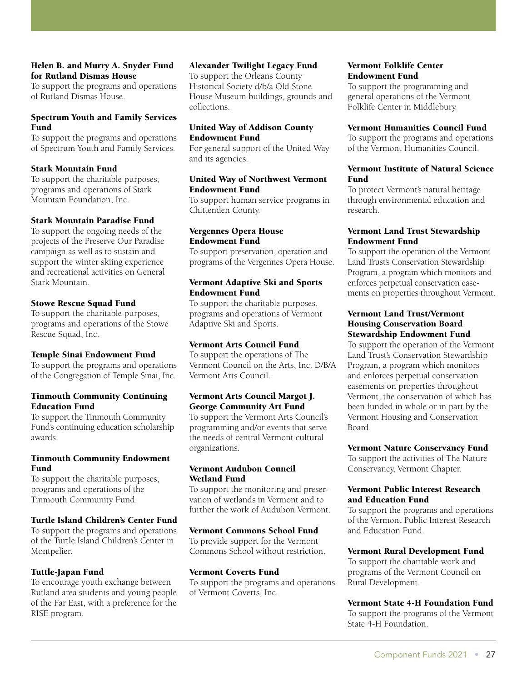#### Helen B. and Murry A. Snyder Fund for Rutland Dismas House

To support the programs and operations of Rutland Dismas House.

# Spectrum Youth and Family Services Fund

To support the programs and operations of Spectrum Youth and Family Services.

# Stark Mountain Fund

To support the charitable purposes, programs and operations of Stark Mountain Foundation, Inc.

# Stark Mountain Paradise Fund

To support the ongoing needs of the projects of the Preserve Our Paradise campaign as well as to sustain and support the winter skiing experience and recreational activities on General Stark Mountain.

# Stowe Rescue Squad Fund

To support the charitable purposes, programs and operations of the Stowe Rescue Squad, Inc.

#### Temple Sinai Endowment Fund

To support the programs and operations of the Congregation of Temple Sinai, Inc.

#### Tinmouth Community Continuing Education Fund

To support the Tinmouth Community Fund's continuing education scholarship awards.

#### Tinmouth Community Endowment Fund

To support the charitable purposes, programs and operations of the Tinmouth Community Fund.

#### Turtle Island Children's Center Fund

To support the programs and operations of the Turtle Island Children's Center in Montpelier.

# Tuttle-Japan Fund

To encourage youth exchange between Rutland area students and young people of the Far East, with a preference for the RISE program.

# Alexander Twilight Legacy Fund

To support the Orleans County Historical Society d/b/a Old Stone House Museum buildings, grounds and collections.

#### United Way of Addison County Endowment Fund

For general support of the United Way and its agencies.

# United Way of Northwest Vermont Endowment Fund

To support human service programs in Chittenden County.

#### Vergennes Opera House Endowment Fund

To support preservation, operation and programs of the Vergennes Opera House.

# Vermont Adaptive Ski and Sports Endowment Fund

To support the charitable purposes, programs and operations of Vermont Adaptive Ski and Sports.

#### Vermont Arts Council Fund

To support the operations of The Vermont Council on the Arts, Inc. D/B/A Vermont Arts Council.

# Vermont Arts Council Margot J. George Community Art Fund

To support the Vermont Arts Council's programming and/or events that serve the needs of central Vermont cultural organizations.

#### Vermont Audubon Council Wetland Fund

To support the monitoring and preservation of wetlands in Vermont and to further the work of Audubon Vermont.

# Vermont Commons School Fund

To provide support for the Vermont Commons School without restriction.

# Vermont Coverts Fund

To support the programs and operations of Vermont Coverts, Inc.

# Vermont Folklife Center Endowment Fund

To support the programming and general operations of the Vermont Folklife Center in Middlebury.

#### Vermont Humanities Council Fund

To support the programs and operations of the Vermont Humanities Council.

# Vermont Institute of Natural Science Fund

To protect Vermont's natural heritage through environmental education and research.

#### Vermont Land Trust Stewardship Endowment Fund

To support the operation of the Vermont Land Trust's Conservation Stewardship Program, a program which monitors and enforces perpetual conservation easements on properties throughout Vermont.

#### Vermont Land Trust/Vermont Housing Conservation Board Stewardship Endowment Fund

To support the operation of the Vermont Land Trust's Conservation Stewardship Program, a program which monitors and enforces perpetual conservation easements on properties throughout Vermont, the conservation of which has been funded in whole or in part by the Vermont Housing and Conservation Board.

#### Vermont Nature Conservancy Fund

To support the activities of The Nature Conservancy, Vermont Chapter.

# Vermont Public Interest Research and Education Fund

To support the programs and operations of the Vermont Public Interest Research and Education Fund.

# Vermont Rural Development Fund

To support the charitable work and programs of the Vermont Council on Rural Development.

#### Vermont State 4-H Foundation Fund

To support the programs of the Vermont State 4-H Foundation.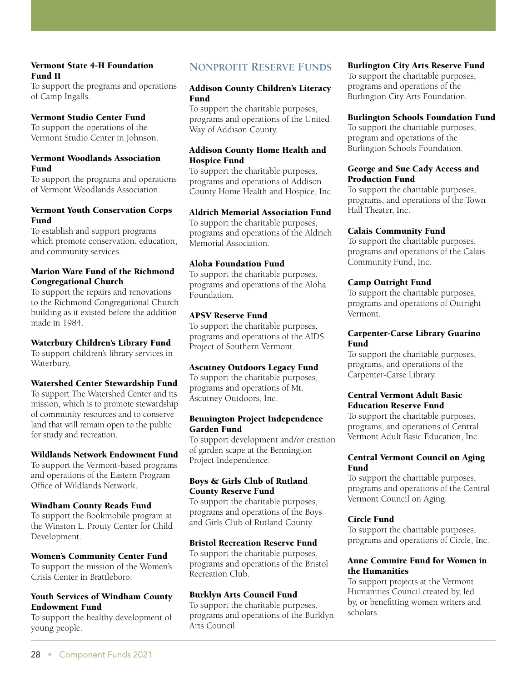# Vermont State 4-H Foundation Fund II

To support the programs and operations of Camp Ingalls.

# Vermont Studio Center Fund

To support the operations of the Vermont Studio Center in Johnson.

# Vermont Woodlands Association Fund

To support the programs and operations of Vermont Woodlands Association.

# Vermont Youth Conservation Corps Fund

To establish and support programs which promote conservation, education, and community services.

# Marion Ware Fund of the Richmond Congregational Church

To support the repairs and renovations to the Richmond Congregational Church building as it existed before the addition made in 1984.

# Waterbury Children's Library Fund

To support children's library services in Waterbury.

# Watershed Center Stewardship Fund

To support The Watershed Center and its mission, which is to promote stewardship of community resources and to conserve land that will remain open to the public for study and recreation.

# Wildlands Network Endowment Fund

To support the Vermont-based programs and operations of the Eastern Program Office of Wildlands Network.

# Windham County Reads Fund

To support the Bookmobile program at the Winston L. Prouty Center for Child Development.

# Women's Community Center Fund

To support the mission of the Women's Crisis Center in Brattleboro.

# Youth Services of Windham County Endowment Fund

To support the healthy development of young people.

# **Nonprofit Reserve Funds**

# Addison County Children's Literacy Fund

To support the charitable purposes, programs and operations of the United Way of Addison County.

# Addison County Home Health and Hospice Fund

To support the charitable purposes, programs and operations of Addison County Home Health and Hospice, Inc.

# Aldrich Memorial Association Fund

To support the charitable purposes, programs and operations of the Aldrich Memorial Association.

# Aloha Foundation Fund

To support the charitable purposes, programs and operations of the Aloha Foundation.

# APSV Reserve Fund

To support the charitable purposes, programs and operations of the AIDS Project of Southern Vermont.

# Ascutney Outdoors Legacy Fund

To support the charitable purposes, programs and operations of Mt. Ascutney Outdoors, Inc.

# Bennington Project Independence Garden Fund

To support development and/or creation of garden scape at the Bennington Project Independence.

# Boys & Girls Club of Rutland County Reserve Fund

To support the charitable purposes, programs and operations of the Boys and Girls Club of Rutland County.

# Bristol Recreation Reserve Fund

To support the charitable purposes, programs and operations of the Bristol Recreation Club.

# Burklyn Arts Council Fund

To support the charitable purposes, programs and operations of the Burklyn Arts Council.

# Burlington City Arts Reserve Fund

To support the charitable purposes, programs and operations of the Burlington City Arts Foundation.

# Burlington Schools Foundation Fund

To support the charitable purposes, program and operations of the Burlington Schools Foundation.

# George and Sue Cady Access and Production Fund

To support the charitable purposes, programs, and operations of the Town Hall Theater, Inc.

# Calais Community Fund

To support the charitable purposes, programs and operations of the Calais Community Fund, Inc.

# Camp Outright Fund

To support the charitable purposes, programs and operations of Outright Vermont.

# Carpenter-Carse Library Guarino Fund

To support the charitable purposes, programs, and operations of the Carpenter-Carse Library.

# Central Vermont Adult Basic Education Reserve Fund

To support the charitable purposes, programs, and operations of Central Vermont Adult Basic Education, Inc.

# Central Vermont Council on Aging Fund

To support the charitable purposes, programs and operations of the Central Vermont Council on Aging.

# Circle Fund

To support the charitable purposes, programs and operations of Circle, Inc.

# Anne Commire Fund for Women in the Humanities

To support projects at the Vermont Humanities Council created by, led by, or benefitting women writers and scholars.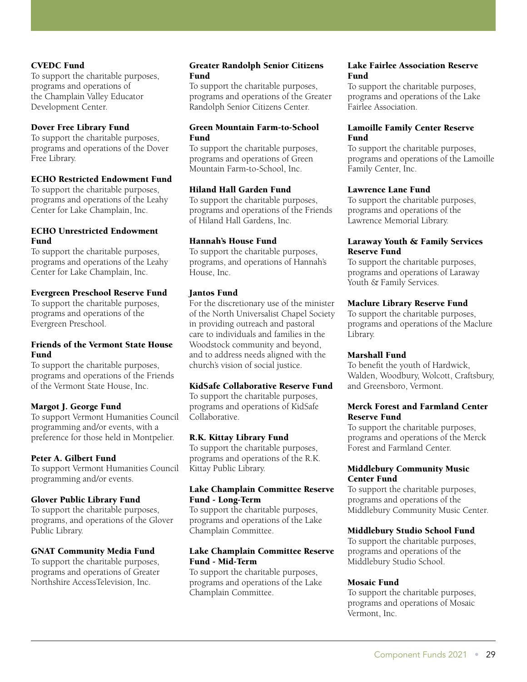# CVEDC Fund

To support the charitable purposes, programs and operations of the Champlain Valley Educator Development Center.

# Dover Free Library Fund

To support the charitable purposes, programs and operations of the Dover Free Library.

#### ECHO Restricted Endowment Fund

To support the charitable purposes, programs and operations of the Leahy Center for Lake Champlain, Inc.

#### ECHO Unrestricted Endowment Fund

To support the charitable purposes, programs and operations of the Leahy Center for Lake Champlain, Inc.

# Evergreen Preschool Reserve Fund

To support the charitable purposes, programs and operations of the Evergreen Preschool.

#### Friends of the Vermont State House Fund

To support the charitable purposes, programs and operations of the Friends of the Vermont State House, Inc.

# Margot J. George Fund

To support Vermont Humanities Council programming and/or events, with a preference for those held in Montpelier.

# Peter A. Gilbert Fund

To support Vermont Humanities Council programming and/or events.

# Glover Public Library Fund

To support the charitable purposes, programs, and operations of the Glover Public Library.

# GNAT Community Media Fund

To support the charitable purposes, programs and operations of Greater Northshire AccessTelevision, Inc.

#### Greater Randolph Senior Citizens Fund

To support the charitable purposes, programs and operations of the Greater Randolph Senior Citizens Center.

#### Green Mountain Farm-to-School Fund

To support the charitable purposes, programs and operations of Green Mountain Farm-to-School, Inc.

# Hiland Hall Garden Fund

To support the charitable purposes, programs and operations of the Friends of Hiland Hall Gardens, Inc.

# Hannah's House Fund

To support the charitable purposes, programs, and operations of Hannah's House, Inc.

#### Jantos Fund

For the discretionary use of the minister of the North Universalist Chapel Society in providing outreach and pastoral care to individuals and families in the Woodstock community and beyond, and to address needs aligned with the church's vision of social justice.

# KidSafe Collaborative Reserve Fund

To support the charitable purposes, programs and operations of KidSafe Collaborative.

# R.K. Kittay Library Fund

To support the charitable purposes, programs and operations of the R.K. Kittay Public Library.

# Lake Champlain Committee Reserve Fund - Long-Term

To support the charitable purposes, programs and operations of the Lake Champlain Committee.

# Lake Champlain Committee Reserve Fund - Mid-Term

To support the charitable purposes, programs and operations of the Lake Champlain Committee.

# Lake Fairlee Association Reserve Fund

To support the charitable purposes, programs and operations of the Lake Fairlee Association.

#### Lamoille Family Center Reserve Fund

To support the charitable purposes, programs and operations of the Lamoille Family Center, Inc.

#### Lawrence Lane Fund

To support the charitable purposes, programs and operations of the Lawrence Memorial Library.

# Laraway Youth & Family Services Reserve Fund

To support the charitable purposes, programs and operations of Laraway Youth & Family Services.

# Maclure Library Reserve Fund

To support the charitable purposes, programs and operations of the Maclure Library.

#### Marshall Fund

To benefit the youth of Hardwick, Walden, Woodbury, Wolcott, Craftsbury, and Greensboro, Vermont.

# Merck Forest and Farmland Center Reserve Fund

To support the charitable purposes, programs and operations of the Merck Forest and Farmland Center.

# Middlebury Community Music Center Fund

To support the charitable purposes, programs and operations of the Middlebury Community Music Center.

#### Middlebury Studio School Fund

To support the charitable purposes, programs and operations of the Middlebury Studio School.

#### Mosaic Fund

To support the charitable purposes, programs and operations of Mosaic Vermont, Inc.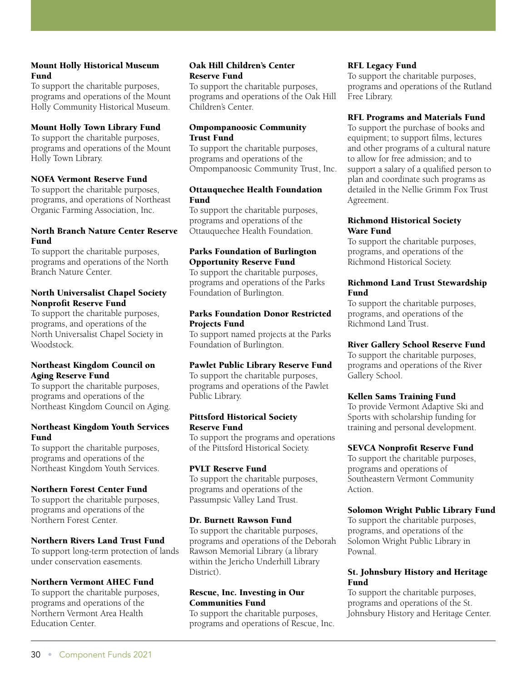# Mount Holly Historical Museum Fund

To support the charitable purposes, programs and operations of the Mount Holly Community Historical Museum.

# Mount Holly Town Library Fund

To support the charitable purposes, programs and operations of the Mount Holly Town Library.

# NOFA Vermont Reserve Fund

To support the charitable purposes, programs, and operations of Northeast Organic Farming Association, Inc.

# North Branch Nature Center Reserve Fund

To support the charitable purposes, programs and operations of the North Branch Nature Center.

# North Universalist Chapel Society Nonprofit Reserve Fund

To support the charitable purposes, programs, and operations of the North Universalist Chapel Society in Woodstock.

# Northeast Kingdom Council on Aging Reserve Fund

To support the charitable purposes, programs and operations of the Northeast Kingdom Council on Aging.

# Northeast Kingdom Youth Services Fund

To support the charitable purposes, programs and operations of the Northeast Kingdom Youth Services.

# Northern Forest Center Fund

To support the charitable purposes, programs and operations of the Northern Forest Center.

# Northern Rivers Land Trust Fund

To support long-term protection of lands under conservation easements.

# Northern Vermont AHEC Fund

To support the charitable purposes, programs and operations of the Northern Vermont Area Health Education Center.

# Oak Hill Children's Center Reserve Fund

To support the charitable purposes, programs and operations of the Oak Hill Children's Center.

# Ompompanoosic Community Trust Fund

To support the charitable purposes, programs and operations of the Ompompanoosic Community Trust, Inc.

# Ottauquechee Health Foundation Fund

To support the charitable purposes, programs and operations of the Ottauquechee Health Foundation.

# Parks Foundation of Burlington Opportunity Reserve Fund

To support the charitable purposes, programs and operations of the Parks Foundation of Burlington.

# Parks Foundation Donor Restricted Projects Fund

To support named projects at the Parks Foundation of Burlington.

# Pawlet Public Library Reserve Fund

To support the charitable purposes, programs and operations of the Pawlet Public Library.

# Pittsford Historical Society Reserve Fund

To support the programs and operations of the Pittsford Historical Society.

# PVLT Reserve Fund

To support the charitable purposes, programs and operations of the Passumpsic Valley Land Trust.

# Dr. Burnett Rawson Fund

To support the charitable purposes, programs and operations of the Deborah Rawson Memorial Library (a library within the Jericho Underhill Library District).

# Rescue, Inc. Investing in Our Communities Fund

To support the charitable purposes, programs and operations of Rescue, Inc.

# RFL Legacy Fund

To support the charitable purposes, programs and operations of the Rutland Free Library.

# RFL Programs and Materials Fund

To support the purchase of books and equipment; to support films, lectures and other programs of a cultural nature to allow for free admission; and to support a salary of a qualified person to plan and coordinate such programs as detailed in the Nellie Grimm Fox Trust Agreement.

# Richmond Historical Society Ware Fund

To support the charitable purposes, programs, and operations of the Richmond Historical Society.

# Richmond Land Trust Stewardship Fund

To support the charitable purposes, programs, and operations of the Richmond Land Trust.

# River Gallery School Reserve Fund

To support the charitable purposes, programs and operations of the River Gallery School.

# Kellen Sams Training Fund

To provide Vermont Adaptive Ski and Sports with scholarship funding for training and personal development.

# SEVCA Nonprofit Reserve Fund

To support the charitable purposes, programs and operations of Southeastern Vermont Community Action.

# Solomon Wright Public Library Fund

To support the charitable purposes, programs, and operations of the Solomon Wright Public Library in Pownal.

# St. Johnsbury History and Heritage Fund

To support the charitable purposes, programs and operations of the St. Johnsbury History and Heritage Center.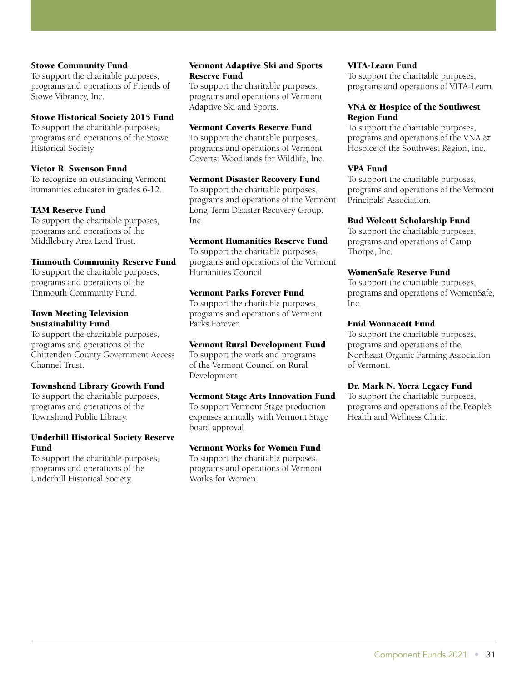#### Stowe Community Fund

To support the charitable purposes, programs and operations of Friends of Stowe Vibrancy, Inc.

#### Stowe Historical Society 2015 Fund

To support the charitable purposes, programs and operations of the Stowe Historical Society.

#### Victor R. Swenson Fund

To recognize an outstanding Vermont humanities educator in grades 6-12.

#### TAM Reserve Fund

To support the charitable purposes, programs and operations of the Middlebury Area Land Trust.

#### Tinmouth Community Reserve Fund

To support the charitable purposes, programs and operations of the Tinmouth Community Fund.

#### Town Meeting Television Sustainability Fund

To support the charitable purposes, programs and operations of the Chittenden County Government Access Channel Trust.

#### Townshend Library Growth Fund

To support the charitable purposes, programs and operations of the Townshend Public Library.

#### Underhill Historical Society Reserve Fund

To support the charitable purposes, programs and operations of the Underhill Historical Society.

#### Vermont Adaptive Ski and Sports Reserve Fund

To support the charitable purposes, programs and operations of Vermont Adaptive Ski and Sports.

#### Vermont Coverts Reserve Fund

To support the charitable purposes, programs and operations of Vermont Coverts: Woodlands for Wildlife, Inc.

#### Vermont Disaster Recovery Fund

To support the charitable purposes, programs and operations of the Vermont Long-Term Disaster Recovery Group, Inc.

# Vermont Humanities Reserve Fund

To support the charitable purposes, programs and operations of the Vermont Humanities Council.

#### Vermont Parks Forever Fund

To support the charitable purposes, programs and operations of Vermont Parks Forever.

#### Vermont Rural Development Fund

To support the work and programs of the Vermont Council on Rural Development.

#### Vermont Stage Arts Innovation Fund

To support Vermont Stage production expenses annually with Vermont Stage board approval.

#### Vermont Works for Women Fund

To support the charitable purposes, programs and operations of Vermont Works for Women.

#### VITA-Learn Fund

To support the charitable purposes, programs and operations of VITA-Learn.

#### VNA & Hospice of the Southwest Region Fund

To support the charitable purposes, programs and operations of the VNA & Hospice of the Southwest Region, Inc.

#### VPA Fund

To support the charitable purposes, programs and operations of the Vermont Principals' Association.

#### Bud Wolcott Scholarship Fund

To support the charitable purposes, programs and operations of Camp Thorpe, Inc.

#### WomenSafe Reserve Fund

To support the charitable purposes, programs and operations of WomenSafe, Inc.

#### Enid Wonnacott Fund

To support the charitable purposes, programs and operations of the Northeast Organic Farming Association of Vermont.

#### Dr. Mark N. Yorra Legacy Fund

To support the charitable purposes, programs and operations of the People's Health and Wellness Clinic.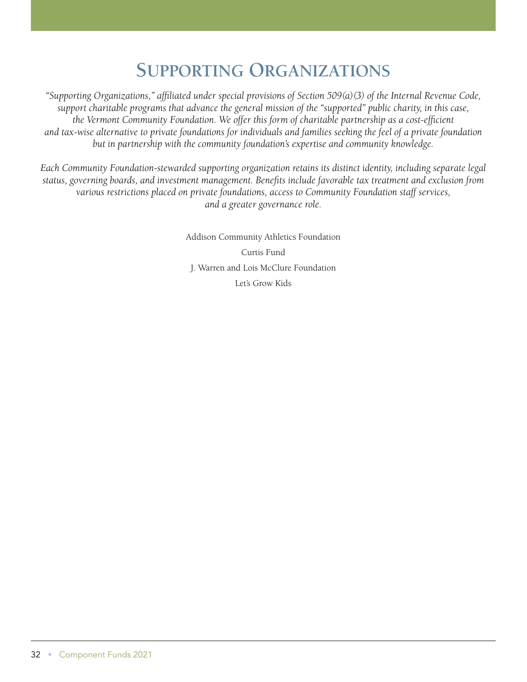# **Supporting Organizations**

*"Supporting Organizations," affiliated under special provisions of Section 509(a)(3) of the Internal Revenue Code, support charitable programs that advance the general mission of the "supported" public charity, in this case, the Vermont Community Foundation. We offer this form of charitable partnership as a cost-efficient and tax-wise alternative to private foundations for individuals and families seeking the feel of a private foundation but in partnership with the community foundation's expertise and community knowledge.* 

*Each Community Foundation-stewarded supporting organization retains its distinct identity, including separate legal status, governing boards, and investment management. Benefits include favorable tax treatment and exclusion from various restrictions placed on private foundations, access to Community Foundation staff services, and a greater governance role.*

> Addison Community Athletics Foundation Curtis Fund J. Warren and Lois McClure Foundation Let's Grow Kids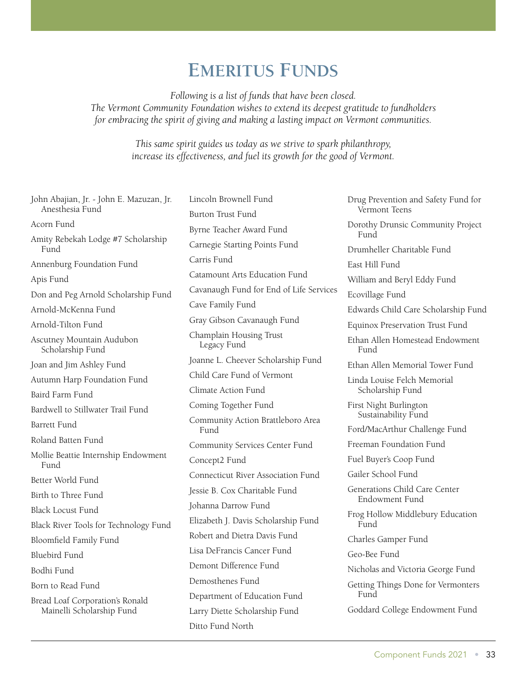# **EMERITUS FUNDS**

*Following is a list of funds that have been closed. The Vermont Community Foundation wishes to extend its deepest gratitude to fundholders for embracing the spirit of giving and making a lasting impact on Vermont communities.*

> *This same spirit guides us today as we strive to spark philanthropy, increase its effectiveness, and fuel its growth for the good of Vermont.*

John Abajian, Jr. - John E. Mazuzan, Jr. Anesthesia Fund Acorn Fund Amity Rebekah Lodge #7 Scholarship Fund Annenburg Foundation Fund Apis Fund Don and Peg Arnold Scholarship Fund Arnold-McKenna Fund Arnold-Tilton Fund Ascutney Mountain Audubon Scholarship Fund Joan and Jim Ashley Fund Autumn Harp Foundation Fund Baird Farm Fund Bardwell to Stillwater Trail Fund Barrett Fund Roland Batten Fund Mollie Beattie Internship Endowment Fund Better World Fund Birth to Three Fund Black Locust Fund Black River Tools for Technology Fund Bloomfield Family Fund Bluebird Fund Bodhi Fund Born to Read Fund Bread Loaf Corporation's Ronald Mainelli Scholarship Fund

Lincoln Brownell Fund Burton Trust Fund Byrne Teacher Award Fund Carnegie Starting Points Fund Carris Fund Catamount Arts Education Fund Cavanaugh Fund for End of Life Services Cave Family Fund Gray Gibson Cavanaugh Fund Champlain Housing Trust Legacy Fund Joanne L. Cheever Scholarship Fund Child Care Fund of Vermont Climate Action Fund Coming Together Fund Community Action Brattleboro Area Fund Community Services Center Fund Concept2 Fund Connecticut River Association Fund Jessie B. Cox Charitable Fund Johanna Darrow Fund Elizabeth J. Davis Scholarship Fund Robert and Dietra Davis Fund Lisa DeFrancis Cancer Fund Demont Difference Fund Demosthenes Fund Department of Education Fund Larry Diette Scholarship Fund Ditto Fund North

Drug Prevention and Safety Fund for Vermont Teens Dorothy Drunsic Community Project Fund Drumheller Charitable Fund East Hill Fund William and Beryl Eddy Fund Ecovillage Fund Edwards Child Care Scholarship Fund Equinox Preservation Trust Fund Ethan Allen Homestead Endowment Fund Ethan Allen Memorial Tower Fund Linda Louise Felch Memorial Scholarship Fund First Night Burlington Sustainability Fund Ford/MacArthur Challenge Fund Freeman Foundation Fund Fuel Buyer's Coop Fund Gailer School Fund Generations Child Care Center Endowment Fund Frog Hollow Middlebury Education Fund Charles Gamper Fund Geo-Bee Fund Nicholas and Victoria George Fund Getting Things Done for Vermonters Fund Goddard College Endowment Fund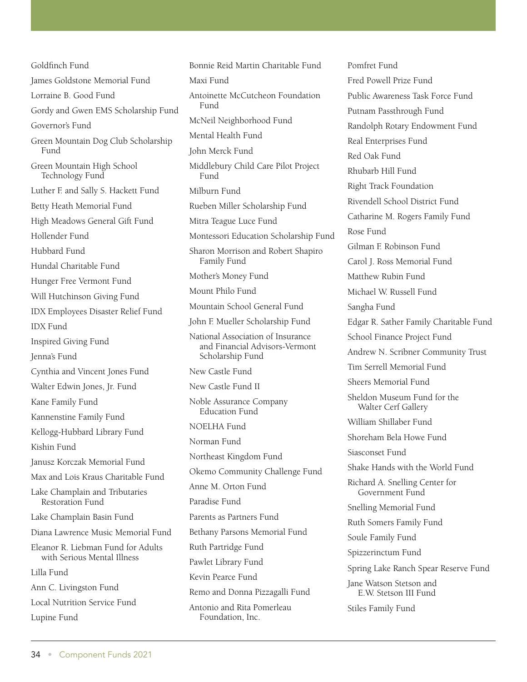Goldfinch Fund James Goldstone Memorial Fund Lorraine B. Good Fund Gordy and Gwen EMS Scholarship Fund Governor's Fund Green Mountain Dog Club Scholarship Fund Green Mountain High School Technology Fund Luther F. and Sally S. Hackett Fund Betty Heath Memorial Fund High Meadows General Gift Fund Hollender Fund Hubbard Fund Hundal Charitable Fund Hunger Free Vermont Fund Will Hutchinson Giving Fund IDX Employees Disaster Relief Fund IDX Fund Inspired Giving Fund Jenna's Fund Cynthia and Vincent Jones Fund Walter Edwin Jones, Jr. Fund Kane Family Fund Kannenstine Family Fund Kellogg-Hubbard Library Fund Kishin Fund Janusz Korczak Memorial Fund Max and Lois Kraus Charitable Fund Lake Champlain and Tributaries Restoration Fund Lake Champlain Basin Fund Diana Lawrence Music Memorial Fund Eleanor R. Liebman Fund for Adults with Serious Mental Illness Lilla Fund Ann C. Livingston Fund Local Nutrition Service Fund Lupine Fund

Bonnie Reid Martin Charitable Fund Maxi Fund Antoinette McCutcheon Foundation Fund McNeil Neighborhood Fund Mental Health Fund John Merck Fund Middlebury Child Care Pilot Project Fund Milburn Fund Rueben Miller Scholarship Fund Mitra Teague Luce Fund Montessori Education Scholarship Fund Sharon Morrison and Robert Shapiro Family Fund Mother's Money Fund Mount Philo Fund Mountain School General Fund John F. Mueller Scholarship Fund National Association of Insurance and Financial Advisors-Vermont Scholarship Fund New Castle Fund New Castle Fund II Noble Assurance Company Education Fund NOELHA Fund Norman Fund Northeast Kingdom Fund Okemo Community Challenge Fund Anne M. Orton Fund Paradise Fund Parents as Partners Fund Bethany Parsons Memorial Fund Ruth Partridge Fund Pawlet Library Fund Kevin Pearce Fund Remo and Donna Pizzagalli Fund Antonio and Rita Pomerleau Foundation, Inc.

Pomfret Fund Fred Powell Prize Fund Public Awareness Task Force Fund Putnam Passthrough Fund Randolph Rotary Endowment Fund Real Enterprises Fund Red Oak Fund Rhubarb Hill Fund Right Track Foundation Rivendell School District Fund Catharine M. Rogers Family Fund Rose Fund Gilman F. Robinson Fund Carol J. Ross Memorial Fund Matthew Rubin Fund Michael W. Russell Fund Sangha Fund Edgar R. Sather Family Charitable Fund School Finance Project Fund Andrew N. Scribner Community Trust Tim Serrell Memorial Fund Sheers Memorial Fund Sheldon Museum Fund for the Walter Cerf Gallery William Shillaber Fund Shoreham Bela Howe Fund Siasconset Fund Shake Hands with the World Fund Richard A. Snelling Center for Government Fund Snelling Memorial Fund Ruth Somers Family Fund Soule Family Fund Spizzerinctum Fund Spring Lake Ranch Spear Reserve Fund Jane Watson Stetson and E.W. Stetson III Fund Stiles Family Fund